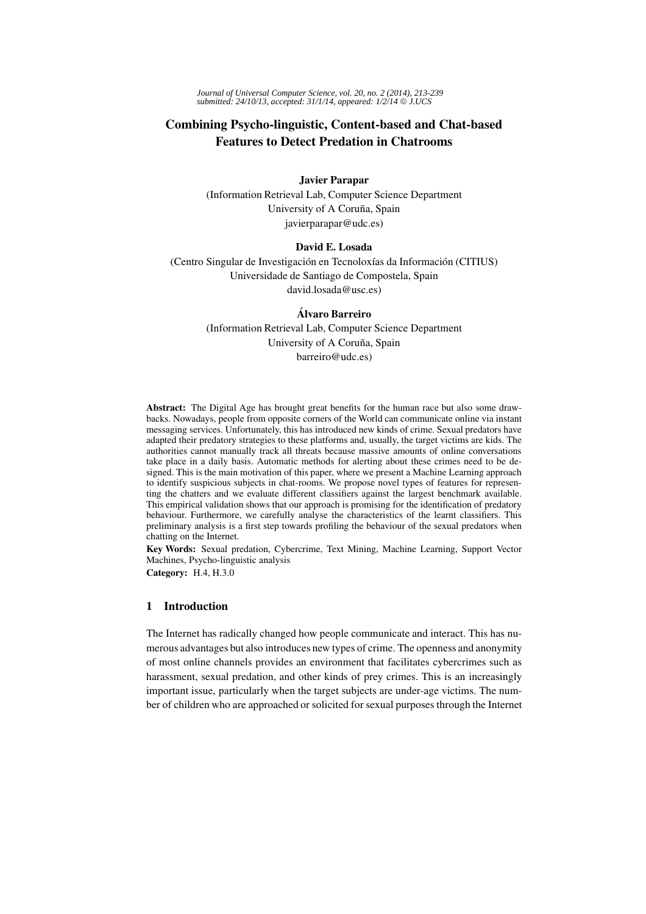*Journal of Universal Computer Science, vol. 20, no. 2 (2014), 213-239 submitted: 24/10/13, accepted: 31/1/14, appeared: 1/2/14* © *J.UCS*

# Combining Psycho-linguistic, Content-based and Chat-based Features to Detect Predation in Chatrooms

Javier Parapar

(Information Retrieval Lab, Computer Science Department University of A Coruña, Spain javierparapar@udc.es)

# David E. Losada

(Centro Singular de Investigación en Tecnoloxías da Información (CITIUS) Universidade de Santiago de Compostela, Spain david.losada@usc.es)

# Alvaro Barreiro ´

(Information Retrieval Lab, Computer Science Department University of A Coruña, Spain barreiro@udc.es)

Abstract: The Digital Age has brought great benefits for the human race but also some drawbacks. Nowadays, people from opposite corners of the World can communicate online via instant messaging services. Unfortunately, this has introduced new kinds of crime. Sexual predators have adapted their predatory strategies to these platforms and, usually, the target victims are kids. The authorities cannot manually track all threats because massive amounts of online conversations take place in a daily basis. Automatic methods for alerting about these crimes need to be designed. This is the main motivation of this paper, where we present a Machine Learning approach to identify suspicious subjects in chat-rooms. We propose novel types of features for representing the chatters and we evaluate different classifiers against the largest benchmark available. This empirical validation shows that our approach is promising for the identification of predatory behaviour. Furthermore, we carefully analyse the characteristics of the learnt classifiers. This preliminary analysis is a first step towards profiling the behaviour of the sexual predators when chatting on the Internet.

Key Words: Sexual predation, Cybercrime, Text Mining, Machine Learning, Support Vector Machines, Psycho-linguistic analysis

Category: H.4, H.3.0

## 1 Introduction

The Internet has radically changed how people communicate and interact. This has numerous advantages but also introduces new types of crime. The openness and anonymity of most online channels provides an environment that facilitates cybercrimes such as harassment, sexual predation, and other kinds of prey crimes. This is an increasingly important issue, particularly when the target subjects are under-age victims. The number of children who are approached or solicited for sexual purposes through the Internet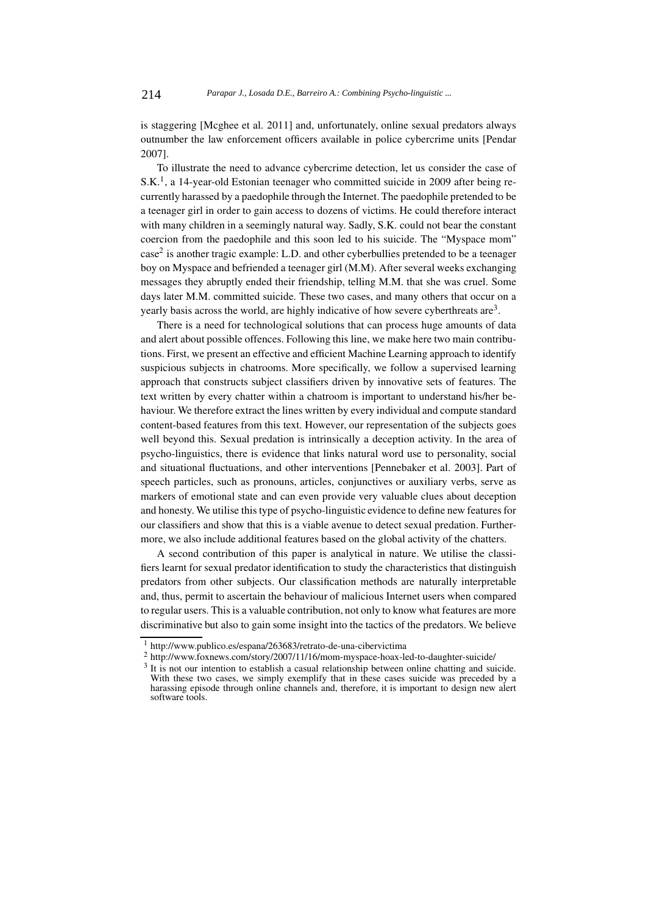is staggering [Mcghee et al. 2011] and, unfortunately, online sexual predators always outnumber the law enforcement officers available in police cybercrime units [Pendar 2007].

To illustrate the need to advance cybercrime detection, let us consider the case of  $S.K<sup>1</sup>$ , a 14-year-old Estonian teenager who committed suicide in 2009 after being recurrently harassed by a paedophile through the Internet. The paedophile pretended to be a teenager girl in order to gain access to dozens of victims. He could therefore interact with many children in a seemingly natural way. Sadly, S.K. could not bear the constant coercion from the paedophile and this soon led to his suicide. The "Myspace mom" case<sup>2</sup> is another tragic example: L.D. and other cyberbullies pretended to be a teenager boy on Myspace and befriended a teenager girl (M.M). After several weeks exchanging messages they abruptly ended their friendship, telling M.M. that she was cruel. Some days later M.M. committed suicide. These two cases, and many others that occur on a yearly basis across the world, are highly indicative of how severe cyberthreats are3.

There is a need for technological solutions that can process huge amounts of data and alert about possible offences. Following this line, we make here two main contributions. First, we present an effective and efficient Machine Learning approach to identify suspicious subjects in chatrooms. More specifically, we follow a supervised learning approach that constructs subject classifiers driven by innovative sets of features. The text written by every chatter within a chatroom is important to understand his/her behaviour. We therefore extract the lines written by every individual and compute standard content-based features from this text. However, our representation of the subjects goes well beyond this. Sexual predation is intrinsically a deception activity. In the area of psycho-linguistics, there is evidence that links natural word use to personality, social and situational fluctuations, and other interventions [Pennebaker et al. 2003]. Part of speech particles, such as pronouns, articles, conjunctives or auxiliary verbs, serve as markers of emotional state and can even provide very valuable clues about deception and honesty. We utilise this type of psycho-linguistic evidence to define new features for our classifiers and show that this is a viable avenue to detect sexual predation. Furthermore, we also include additional features based on the global activity of the chatters.

A second contribution of this paper is analytical in nature. We utilise the classifiers learnt for sexual predator identification to study the characteristics that distinguish predators from other subjects. Our classification methods are naturally interpretable and, thus, permit to ascertain the behaviour of malicious Internet users when compared to regular users. This is a valuable contribution, not only to know what features are more discriminative but also to gain some insight into the tactics of the predators. We believe

<sup>1</sup> http://www.publico.es/espana/263683/retrato-de-una-cibervictima

<sup>2</sup> http://www.foxnews.com/story/2007/11/16/mom-myspace-hoax-led-to-daughter-suicide/

<sup>&</sup>lt;sup>3</sup> It is not our intention to establish a casual relationship between online chatting and suicide. With these two cases, we simply exemplify that in these cases suicide was preceded by a harassing episode through online channels and, therefore, it is important to design new alert software tools.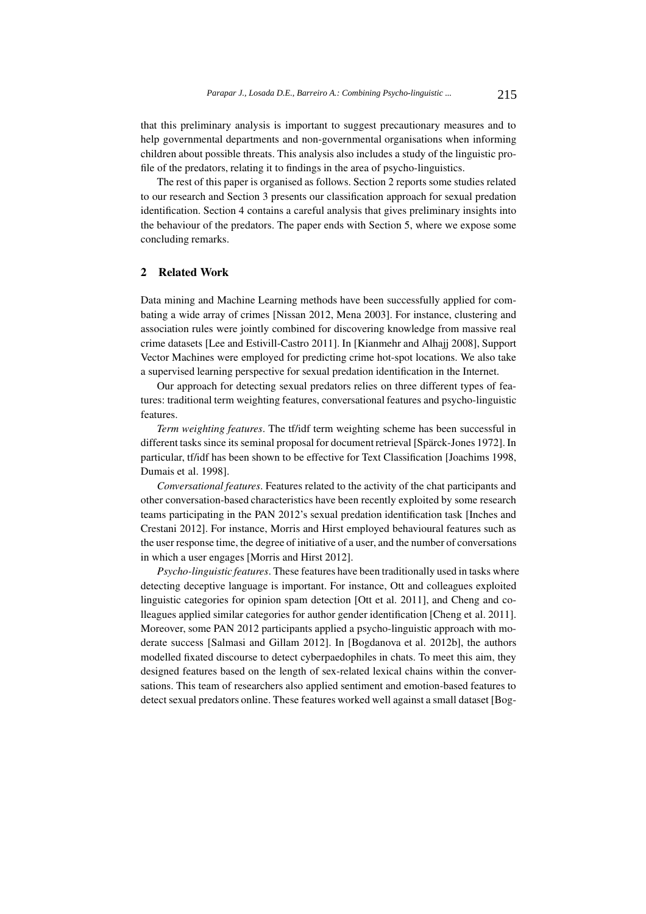that this preliminary analysis is important to suggest precautionary measures and to help governmental departments and non-governmental organisations when informing children about possible threats. This analysis also includes a study of the linguistic profile of the predators, relating it to findings in the area of psycho-linguistics.

The rest of this paper is organised as follows. Section 2 reports some studies related to our research and Section 3 presents our classification approach for sexual predation identification. Section 4 contains a careful analysis that gives preliminary insights into the behaviour of the predators. The paper ends with Section 5, where we expose some concluding remarks.

## 2 Related Work

Data mining and Machine Learning methods have been successfully applied for combating a wide array of crimes [Nissan 2012, Mena 2003]. For instance, clustering and association rules were jointly combined for discovering knowledge from massive real crime datasets [Lee and Estivill-Castro 2011]. In [Kianmehr and Alhajj 2008], Support Vector Machines were employed for predicting crime hot-spot locations. We also take a supervised learning perspective for sexual predation identification in the Internet.

Our approach for detecting sexual predators relies on three different types of features: traditional term weighting features, conversational features and psycho-linguistic features.

*Term weighting features*. The tf/idf term weighting scheme has been successful in different tasks since its seminal proposal for document retrieval [Spärck-Jones 1972]. In particular, tf/idf has been shown to be effective for Text Classification [Joachims 1998, Dumais et al. 1998].

*Conversational features*. Features related to the activity of the chat participants and other conversation-based characteristics have been recently exploited by some research teams participating in the PAN 2012's sexual predation identification task [Inches and Crestani 2012]. For instance, Morris and Hirst employed behavioural features such as the user response time, the degree of initiative of a user, and the number of conversations in which a user engages [Morris and Hirst 2012].

*Psycho-linguistic features*. These features have been traditionally used in tasks where detecting deceptive language is important. For instance, Ott and colleagues exploited linguistic categories for opinion spam detection [Ott et al. 2011], and Cheng and colleagues applied similar categories for author gender identification [Cheng et al. 2011]. Moreover, some PAN 2012 participants applied a psycho-linguistic approach with moderate success [Salmasi and Gillam 2012]. In [Bogdanova et al. 2012b], the authors modelled fixated discourse to detect cyberpaedophiles in chats. To meet this aim, they designed features based on the length of sex-related lexical chains within the conversations. This team of researchers also applied sentiment and emotion-based features to detect sexual predators online. These features worked well against a small dataset [Bog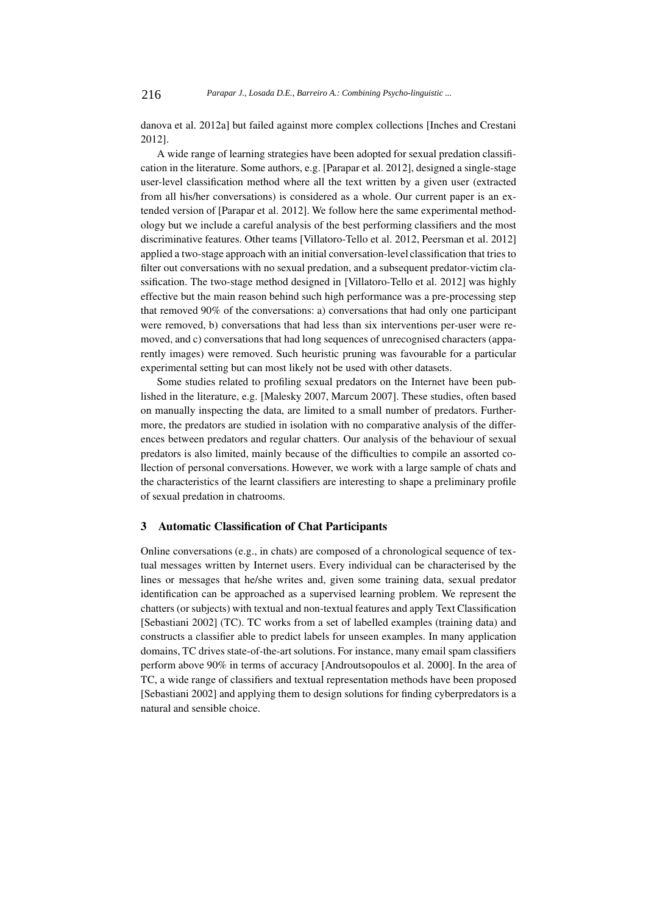danova et al. 2012a] but failed against more complex collections [Inches and Crestani 2012].

A wide range of learning strategies have been adopted for sexual predation classification in the literature. Some authors, e.g. [Parapar et al. 2012], designed a single-stage user-level classification method where all the text written by a given user (extracted from all his/her conversations) is considered as a whole. Our current paper is an extended version of [Parapar et al. 2012]. We follow here the same experimental methodology but we include a careful analysis of the best performing classifiers and the most discriminative features. Other teams [Villatoro-Tello et al. 2012, Peersman et al. 2012] applied a two-stage approach with an initial conversation-level classification that tries to filter out conversations with no sexual predation, and a subsequent predator-victim classification. The two-stage method designed in [Villatoro-Tello et al. 2012] was highly effective but the main reason behind such high performance was a pre-processing step that removed 90% of the conversations: a) conversations that had only one participant were removed, b) conversations that had less than six interventions per-user were removed, and c) conversations that had long sequences of unrecognised characters (apparently images) were removed. Such heuristic pruning was favourable for a particular experimental setting but can most likely not be used with other datasets.

Some studies related to profiling sexual predators on the Internet have been published in the literature, e.g. [Malesky 2007, Marcum 2007]. These studies, often based on manually inspecting the data, are limited to a small number of predators. Furthermore, the predators are studied in isolation with no comparative analysis of the differences between predators and regular chatters. Our analysis of the behaviour of sexual predators is also limited, mainly because of the difficulties to compile an assorted collection of personal conversations. However, we work with a large sample of chats and the characteristics of the learnt classifiers are interesting to shape a preliminary profile of sexual predation in chatrooms.

## 3 Automatic Classification of Chat Participants

Online conversations (e.g., in chats) are composed of a chronological sequence of textual messages written by Internet users. Every individual can be characterised by the lines or messages that he/she writes and, given some training data, sexual predator identification can be approached as a supervised learning problem. We represent the chatters (or subjects) with textual and non-textual features and apply Text Classification [Sebastiani 2002] (TC). TC works from a set of labelled examples (training data) and constructs a classifier able to predict labels for unseen examples. In many application domains, TC drives state-of-the-art solutions. For instance, many email spam classifiers perform above 90% in terms of accuracy [Androutsopoulos et al. 2000]. In the area of TC, a wide range of classifiers and textual representation methods have been proposed [Sebastiani 2002] and applying them to design solutions for finding cyberpredators is a natural and sensible choice.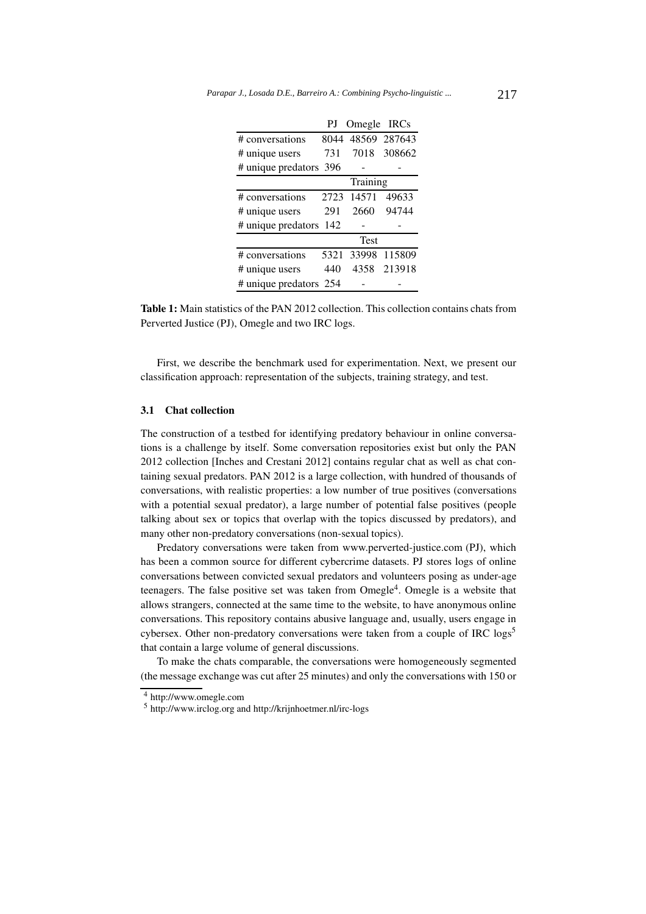|                        | PJ   | Omegle IRCs       |             |
|------------------------|------|-------------------|-------------|
| # conversations        |      | 8044 48569 287643 |             |
| # unique users         | 731  |                   | 7018 308662 |
| # unique predators 396 |      |                   |             |
|                        |      | Training          |             |
| # conversations        | 2723 | 14571             | 49633       |
| # unique users         | 291  | 2660              | 94744       |
| # unique predators     | -142 |                   |             |
|                        |      | <b>Test</b>       |             |
| # conversations        | 5321 | 33998             | 115809      |
| # unique users         | 440  | 4358              | 213918      |
| # unique predators 254 |      |                   |             |

Table 1: Main statistics of the PAN 2012 collection. This collection contains chats from Perverted Justice (PJ), Omegle and two IRC logs.

First, we describe the benchmark used for experimentation. Next, we present our classification approach: representation of the subjects, training strategy, and test.

## 3.1 Chat collection

The construction of a testbed for identifying predatory behaviour in online conversations is a challenge by itself. Some conversation repositories exist but only the PAN 2012 collection [Inches and Crestani 2012] contains regular chat as well as chat containing sexual predators. PAN 2012 is a large collection, with hundred of thousands of conversations, with realistic properties: a low number of true positives (conversations with a potential sexual predator), a large number of potential false positives (people talking about sex or topics that overlap with the topics discussed by predators), and many other non-predatory conversations (non-sexual topics).

Predatory conversations were taken from www.perverted-justice.com (PJ), which has been a common source for different cybercrime datasets. PJ stores logs of online conversations between convicted sexual predators and volunteers posing as under-age teenagers. The false positive set was taken from  $Omega<sup>4</sup>$ . Omegle is a website that allows strangers, connected at the same time to the website, to have anonymous online conversations. This repository contains abusive language and, usually, users engage in cybersex. Other non-predatory conversations were taken from a couple of IRC  $\log s^5$ that contain a large volume of general discussions.

To make the chats comparable, the conversations were homogeneously segmented (the message exchange was cut after 25 minutes) and only the conversations with 150 or

<sup>4</sup> http://www.omegle.com

<sup>5</sup> http://www.irclog.org and http://krijnhoetmer.nl/irc-logs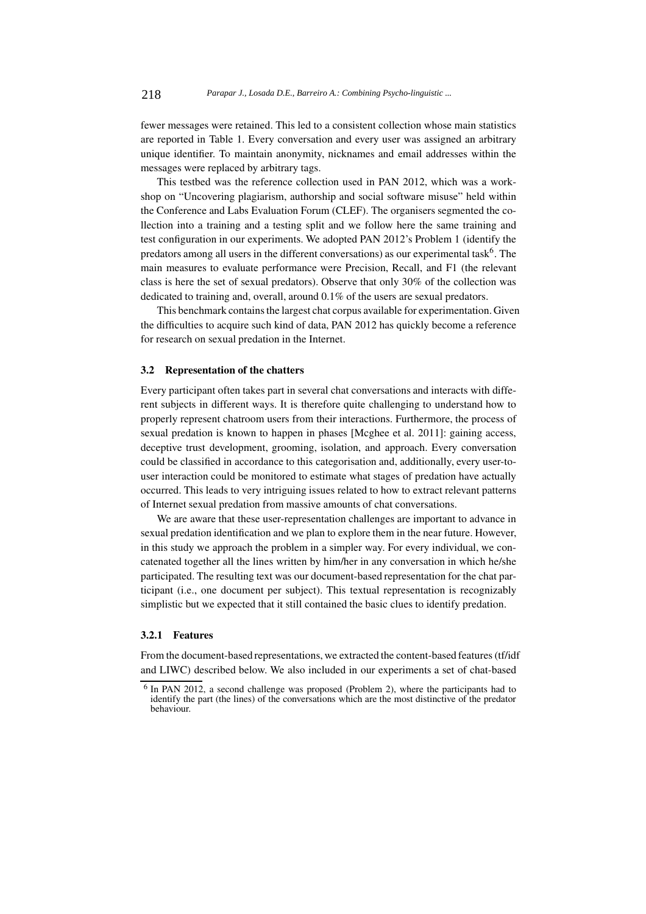fewer messages were retained. This led to a consistent collection whose main statistics are reported in Table 1. Every conversation and every user was assigned an arbitrary unique identifier. To maintain anonymity, nicknames and email addresses within the messages were replaced by arbitrary tags.

This testbed was the reference collection used in PAN 2012, which was a workshop on "Uncovering plagiarism, authorship and social software misuse" held within the Conference and Labs Evaluation Forum (CLEF). The organisers segmented the collection into a training and a testing split and we follow here the same training and test configuration in our experiments. We adopted PAN 2012's Problem 1 (identify the predators among all users in the different conversations) as our experimental task<sup>6</sup>. The main measures to evaluate performance were Precision, Recall, and F1 (the relevant class is here the set of sexual predators). Observe that only 30% of the collection was dedicated to training and, overall, around 0.1% of the users are sexual predators.

This benchmark contains the largest chat corpus available for experimentation. Given the difficulties to acquire such kind of data, PAN 2012 has quickly become a reference for research on sexual predation in the Internet.

#### 3.2 Representation of the chatters

Every participant often takes part in several chat conversations and interacts with different subjects in different ways. It is therefore quite challenging to understand how to properly represent chatroom users from their interactions. Furthermore, the process of sexual predation is known to happen in phases [Mcghee et al. 2011]: gaining access, deceptive trust development, grooming, isolation, and approach. Every conversation could be classified in accordance to this categorisation and, additionally, every user-touser interaction could be monitored to estimate what stages of predation have actually occurred. This leads to very intriguing issues related to how to extract relevant patterns of Internet sexual predation from massive amounts of chat conversations.

We are aware that these user-representation challenges are important to advance in sexual predation identification and we plan to explore them in the near future. However, in this study we approach the problem in a simpler way. For every individual, we concatenated together all the lines written by him/her in any conversation in which he/she participated. The resulting text was our document-based representation for the chat participant (i.e., one document per subject). This textual representation is recognizably simplistic but we expected that it still contained the basic clues to identify predation.

#### 3.2.1 Features

From the document-based representations, we extracted the content-based features (tf/idf and LIWC) described below. We also included in our experiments a set of chat-based

<sup>6</sup> In PAN 2012, a second challenge was proposed (Problem 2), where the participants had to identify the part (the lines) of the conversations which are the most distinctive of the predator behaviour.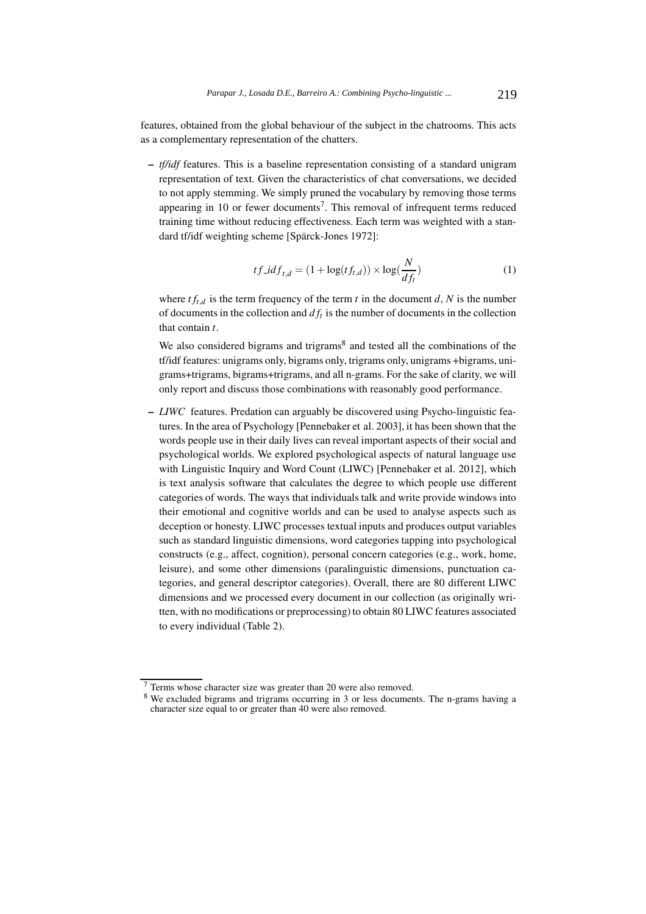features, obtained from the global behaviour of the subject in the chatrooms. This acts as a complementary representation of the chatters.

– *tf/idf* features. This is a baseline representation consisting of a standard unigram representation of text. Given the characteristics of chat conversations, we decided to not apply stemming. We simply pruned the vocabulary by removing those terms appearing in 10 or fewer documents<sup>7</sup>. This removal of infrequent terms reduced training time without reducing effectiveness. Each term was weighted with a standard tf/idf weighting scheme [Spärck-Jones 1972]:

$$
tf\_idf_{t,d} = (1 + \log(tf_{t,d})) \times \log(\frac{N}{df_t})
$$
\n<sup>(1)</sup>

where  $tf_{t,d}$  is the term frequency of the term  $t$  in the document  $d$ ,  $N$  is the number of documents in the collection and  $df_t$  is the number of documents in the collection that contain *t*.

We also considered bigrams and trigrams<sup>8</sup> and tested all the combinations of the tf/idf features: unigrams only, bigrams only, trigrams only, unigrams +bigrams, unigrams+trigrams, bigrams+trigrams, and all n-grams. For the sake of clarity, we will only report and discuss those combinations with reasonably good performance.

– *LIWC* features. Predation can arguably be discovered using Psycho-linguistic features. In the area of Psychology [Pennebaker et al. 2003], it has been shown that the words people use in their daily lives can reveal important aspects of their social and psychological worlds. We explored psychological aspects of natural language use with Linguistic Inquiry and Word Count (LIWC) [Pennebaker et al. 2012], which is text analysis software that calculates the degree to which people use different categories of words. The ways that individuals talk and write provide windows into their emotional and cognitive worlds and can be used to analyse aspects such as deception or honesty. LIWC processes textual inputs and produces output variables such as standard linguistic dimensions, word categories tapping into psychological constructs (e.g., affect, cognition), personal concern categories (e.g., work, home, leisure), and some other dimensions (paralinguistic dimensions, punctuation categories, and general descriptor categories). Overall, there are 80 different LIWC dimensions and we processed every document in our collection (as originally written, with no modifications or preprocessing) to obtain 80 LIWC features associated to every individual (Table 2).

<sup>7</sup> Terms whose character size was greater than 20 were also removed.

<sup>&</sup>lt;sup>8</sup> We excluded bigrams and trigrams occurring in 3 or less documents. The n-grams having a character size equal to or greater than 40 were also removed.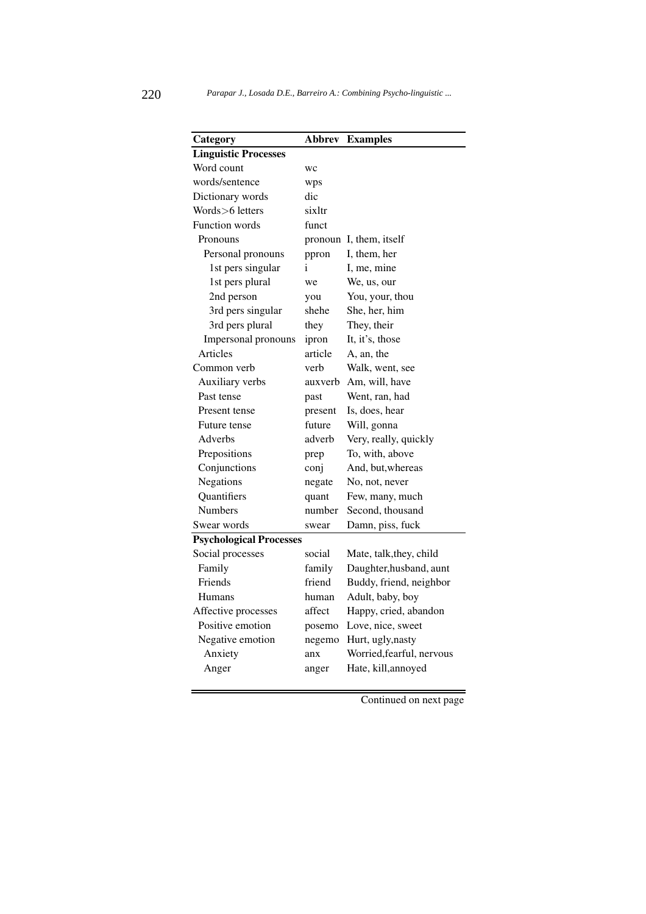| Category                       | Abbrev  | <b>Examples</b>           |
|--------------------------------|---------|---------------------------|
| <b>Linguistic Processes</b>    |         |                           |
| Word count                     | WC      |                           |
| words/sentence                 | wps     |                           |
| Dictionary words               | dic     |                           |
| Words>6 letters                | sixltr  |                           |
| <b>Function words</b>          | funct   |                           |
| Pronouns                       |         | pronoun I, them, itself   |
| Personal pronouns              | ppron   | I, them, her              |
| 1st pers singular              | i       | I, me, mine               |
| 1st pers plural                | we      | We, us, our               |
| 2nd person                     | you     | You, your, thou           |
| 3rd pers singular              | shehe   | She, her, him             |
| 3rd pers plural                | they    | They, their               |
| Impersonal pronouns            | ipron   | It, it's, those           |
| Articles                       | article | A, an, the                |
| Common verb                    | verb    | Walk, went, see           |
| Auxiliary verbs                | auxverb | Am, will, have            |
| Past tense                     | past    | Went, ran, had            |
| Present tense                  | present | Is, does, hear            |
| <b>Future tense</b>            | future  | Will, gonna               |
| Adverbs                        | adverb  | Very, really, quickly     |
| Prepositions                   | prep    | To, with, above           |
| Conjunctions                   | conj    | And, but, whereas         |
| Negations                      | negate  | No, not, never            |
| Quantifiers                    | quant   | Few, many, much           |
| <b>Numbers</b>                 | number  | Second, thousand          |
| Swear words                    | swear   | Damn, piss, fuck          |
| <b>Psychological Processes</b> |         |                           |
| Social processes               | social  | Mate, talk, they, child   |
| Family                         | family  | Daughter, husband, aunt   |
| Friends                        | friend  | Buddy, friend, neighbor   |
| Humans                         | human   | Adult, baby, boy          |
| Affective processes            | affect  | Happy, cried, abandon     |
| Positive emotion               | posemo  | Love, nice, sweet         |
| Negative emotion               | negemo  | Hurt, ugly, nasty         |
| Anxiety                        | anx     | Worried, fearful, nervous |
| Anger                          | anger   | Hate, kill, annoyed       |
|                                |         |                           |

Continued on next page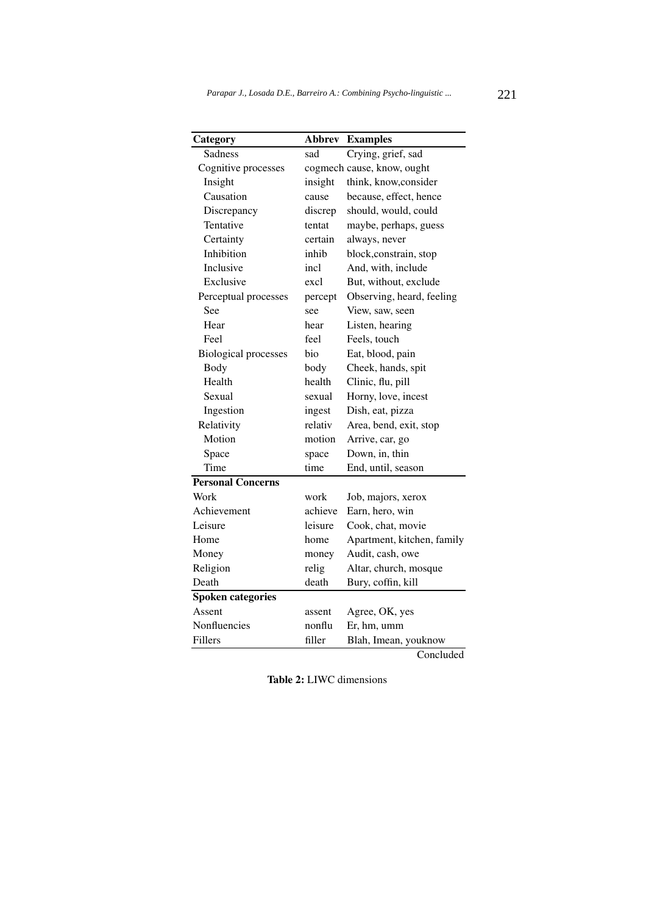| Category                    |         | <b>Abbrev Examples</b>     |
|-----------------------------|---------|----------------------------|
| Sadness                     | sad     | Crying, grief, sad         |
| Cognitive processes         |         | cogmech cause, know, ought |
| Insight                     | insight | think, know, consider      |
| Causation                   | cause   | because, effect, hence     |
| Discrepancy                 | discrep | should, would, could       |
| Tentative                   | tentat  | maybe, perhaps, guess      |
| Certainty                   | certain | always, never              |
| Inhibition                  | inhib   | block, constrain, stop     |
| Inclusive                   | incl    | And, with, include         |
| Exclusive                   | excl    | But, without, exclude      |
| Perceptual processes        | percept | Observing, heard, feeling  |
| See                         | see     | View, saw, seen            |
| Hear                        | hear    | Listen, hearing            |
| Feel                        | feel    | Feels, touch               |
| <b>Biological processes</b> | bio     | Eat, blood, pain           |
| Body                        | body    | Cheek, hands, spit         |
| Health                      | health  | Clinic, flu, pill          |
| Sexual                      | sexual  | Horny, love, incest        |
| Ingestion                   | ingest  | Dish, eat, pizza           |
| Relativity                  | relativ | Area, bend, exit, stop     |
| Motion                      | motion  | Arrive, car, go            |
| Space                       | space   | Down, in, thin             |
| Time                        | time    | End, until, season         |
| <b>Personal Concerns</b>    |         |                            |
| Work                        | work    | Job, majors, xerox         |
| Achievement                 | achieve | Earn, hero, win            |
| Leisure                     | leisure | Cook, chat, movie          |
| Home                        | home    | Apartment, kitchen, family |
| Money                       | money   | Audit, cash, owe           |
| Religion                    | relig   | Altar, church, mosque      |
| Death                       | death   | Bury, coffin, kill         |
| Spoken categories           |         |                            |
| Assent                      | assent  | Agree, OK, yes             |
| Nonfluencies                | nonflu  | Er, hm, umm                |
| Fillers                     | filler  | Blah, Imean, youknow       |
|                             |         |                            |

Concluded

Table 2: LIWC dimensions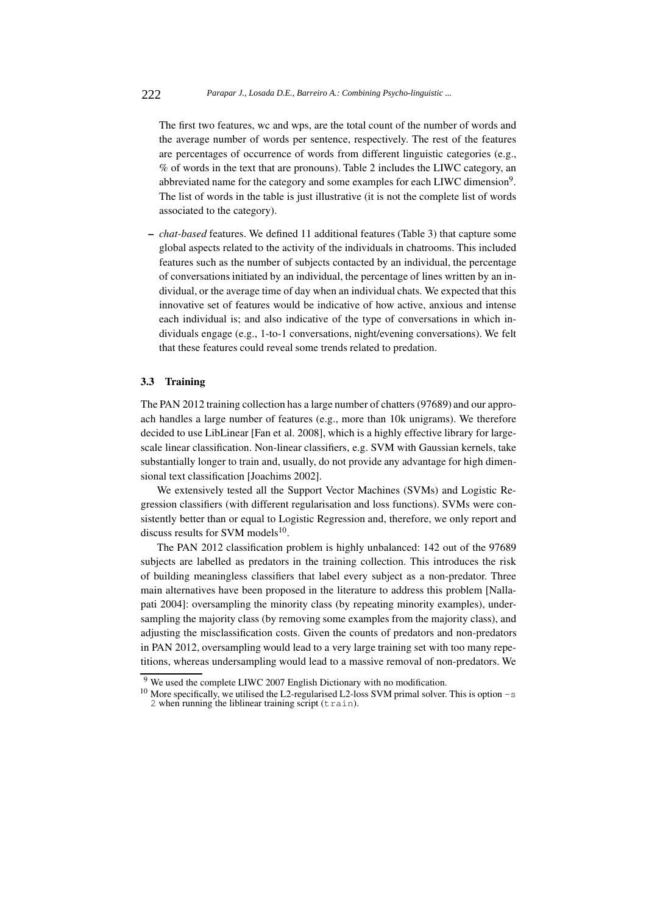The first two features, wc and wps, are the total count of the number of words and the average number of words per sentence, respectively. The rest of the features are percentages of occurrence of words from different linguistic categories (e.g., % of words in the text that are pronouns). Table 2 includes the LIWC category, an abbreviated name for the category and some examples for each LIWC dimension<sup>9</sup>. The list of words in the table is just illustrative (it is not the complete list of words associated to the category).

– *chat-based* features. We defined 11 additional features (Table 3) that capture some global aspects related to the activity of the individuals in chatrooms. This included features such as the number of subjects contacted by an individual, the percentage of conversations initiated by an individual, the percentage of lines written by an individual, or the average time of day when an individual chats. We expected that this innovative set of features would be indicative of how active, anxious and intense each individual is; and also indicative of the type of conversations in which individuals engage (e.g., 1-to-1 conversations, night/evening conversations). We felt that these features could reveal some trends related to predation.

#### 3.3 Training

The PAN 2012 training collection has a large number of chatters (97689) and our approach handles a large number of features (e.g., more than 10k unigrams). We therefore decided to use LibLinear [Fan et al. 2008], which is a highly effective library for largescale linear classification. Non-linear classifiers, e.g. SVM with Gaussian kernels, take substantially longer to train and, usually, do not provide any advantage for high dimensional text classification [Joachims 2002].

We extensively tested all the Support Vector Machines (SVMs) and Logistic Regression classifiers (with different regularisation and loss functions). SVMs were consistently better than or equal to Logistic Regression and, therefore, we only report and discuss results for SVM models $^{10}$ .

The PAN 2012 classification problem is highly unbalanced: 142 out of the 97689 subjects are labelled as predators in the training collection. This introduces the risk of building meaningless classifiers that label every subject as a non-predator. Three main alternatives have been proposed in the literature to address this problem [Nallapati 2004]: oversampling the minority class (by repeating minority examples), undersampling the majority class (by removing some examples from the majority class), and adjusting the misclassification costs. Given the counts of predators and non-predators in PAN 2012, oversampling would lead to a very large training set with too many repetitions, whereas undersampling would lead to a massive removal of non-predators. We

<sup>&</sup>lt;sup>9</sup> We used the complete LIWC 2007 English Dictionary with no modification.

<sup>&</sup>lt;sup>10</sup> More specifically, we utilised the L2-regularised L2-loss SVM primal solver. This is option -s 2 when running the liblinear training script (train).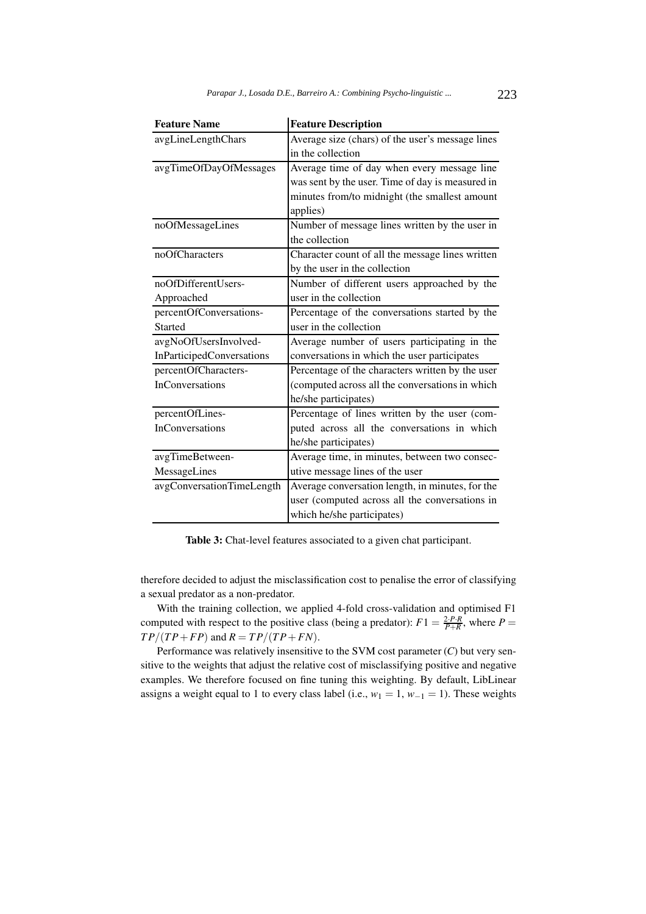| <b>Feature Name</b>       | <b>Feature Description</b>                       |
|---------------------------|--------------------------------------------------|
| avgLineLengthChars        | Average size (chars) of the user's message lines |
|                           | in the collection                                |
| avgTimeOfDayOfMessages    | Average time of day when every message line      |
|                           | was sent by the user. Time of day is measured in |
|                           | minutes from/to midnight (the smallest amount    |
|                           | applies)                                         |
| noOfMessageLines          | Number of message lines written by the user in   |
|                           | the collection                                   |
| noOfCharacters            | Character count of all the message lines written |
|                           | by the user in the collection                    |
| noOfDifferentUsers-       | Number of different users approached by the      |
| Approached                | user in the collection                           |
| percentOfConversations-   | Percentage of the conversations started by the   |
| Started                   | user in the collection                           |
| avgNoOfUsersInvolved-     | Average number of users participating in the     |
| InParticipedConversations | conversations in which the user participates     |
| percentOfCharacters-      | Percentage of the characters written by the user |
| InConversations           | (computed across all the conversations in which  |
|                           | he/she participates)                             |
| percentOfLines-           | Percentage of lines written by the user (com-    |
| InConversations           | puted across all the conversations in which      |
|                           | he/she participates)                             |
| avgTimeBetween-           | Average time, in minutes, between two consec-    |
| MessageLines              | utive message lines of the user                  |
| avgConversationTimeLength | Average conversation length, in minutes, for the |
|                           | user (computed across all the conversations in   |
|                           | which he/she participates)                       |

Table 3: Chat-level features associated to a given chat participant.

therefore decided to adjust the misclassification cost to penalise the error of classifying a sexual predator as a non-predator.

With the training collection, we applied 4-fold cross-validation and optimised F1 computed with respect to the positive class (being a predator):  $F1 = \frac{2 \cdot P \cdot R}{P + R}$ , where  $P =$  $TP/(TP+FP)$  and  $R = TP/(TP+FN)$ .

Performance was relatively insensitive to the SVM cost parameter (*C*) but very sensitive to the weights that adjust the relative cost of misclassifying positive and negative examples. We therefore focused on fine tuning this weighting. By default, LibLinear assigns a weight equal to 1 to every class label (i.e.,  $w_1 = 1$ ,  $w_{-1} = 1$ ). These weights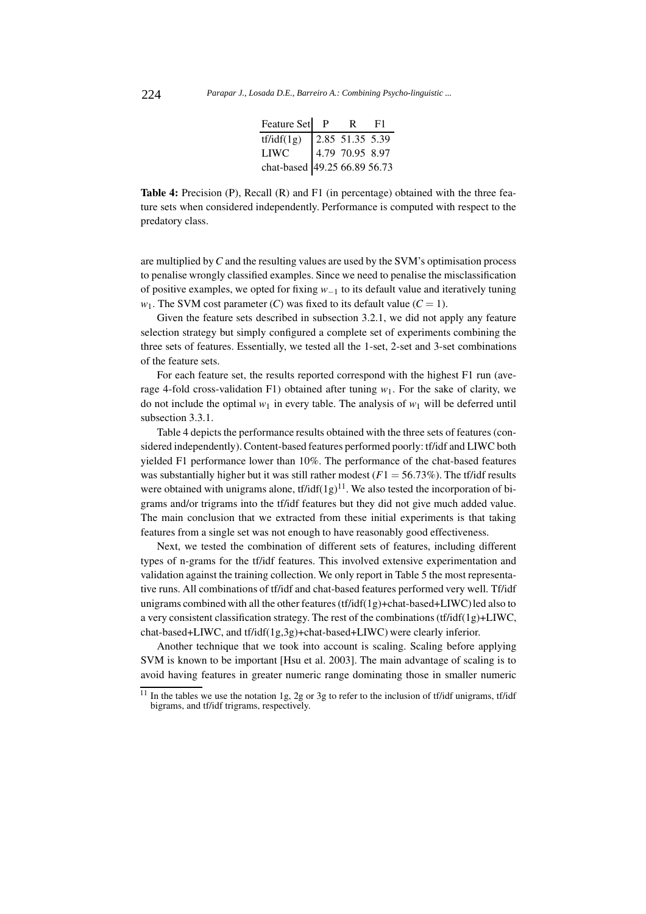| Feature Set P                                        | $\mathbf{R}$      | F1 |
|------------------------------------------------------|-------------------|----|
| tf/idf(1g)                                           | $2.85$ 51.35 5.39 |    |
|                                                      |                   |    |
| LIWC 4.79 70.95 8.97<br>chat-based 49.25 66.89 56.73 |                   |    |

Table 4: Precision (P), Recall (R) and F1 (in percentage) obtained with the three feature sets when considered independently. Performance is computed with respect to the predatory class.

are multiplied by*C* and the resulting values are used by the SVM's optimisation process to penalise wrongly classified examples. Since we need to penalise the misclassification of positive examples, we opted for fixing *w−*<sup>1</sup> to its default value and iteratively tuning *w*<sub>1</sub>. The SVM cost parameter (*C*) was fixed to its default value ( $C = 1$ ).

Given the feature sets described in subsection 3.2.1, we did not apply any feature selection strategy but simply configured a complete set of experiments combining the three sets of features. Essentially, we tested all the 1-set, 2-set and 3-set combinations of the feature sets.

For each feature set, the results reported correspond with the highest F1 run (average 4-fold cross-validation F1) obtained after tuning *w*1. For the sake of clarity, we do not include the optimal  $w_1$  in every table. The analysis of  $w_1$  will be deferred until subsection 3.3.1.

Table 4 depicts the performance results obtained with the three sets of features (considered independently). Content-based features performed poorly: tf/idf and LIWC both yielded F1 performance lower than 10%. The performance of the chat-based features was substantially higher but it was still rather modest  $(F1 = 56.73\%)$ . The tf/idf results were obtained with unigrams alone,  $tf/idf(1g)^{11}$ . We also tested the incorporation of bigrams and/or trigrams into the tf/idf features but they did not give much added value. The main conclusion that we extracted from these initial experiments is that taking features from a single set was not enough to have reasonably good effectiveness.

Next, we tested the combination of different sets of features, including different types of n-grams for the tf/idf features. This involved extensive experimentation and validation against the training collection. We only report in Table 5 the most representative runs. All combinations of tf/idf and chat-based features performed very well. Tf/idf unigrams combined with all the other features (tf/idf(1g)+chat-based+LIWC) led also to a very consistent classification strategy. The rest of the combinations (tf/idf(1g)+LIWC, chat-based+LIWC, and tf/idf(1g,3g)+chat-based+LIWC) were clearly inferior.

Another technique that we took into account is scaling. Scaling before applying SVM is known to be important [Hsu et al. 2003]. The main advantage of scaling is to avoid having features in greater numeric range dominating those in smaller numeric

 $11$  In the tables we use the notation 1g, 2g or 3g to refer to the inclusion of tf/idf unigrams, tf/idf bigrams, and tf/idf trigrams, respectively.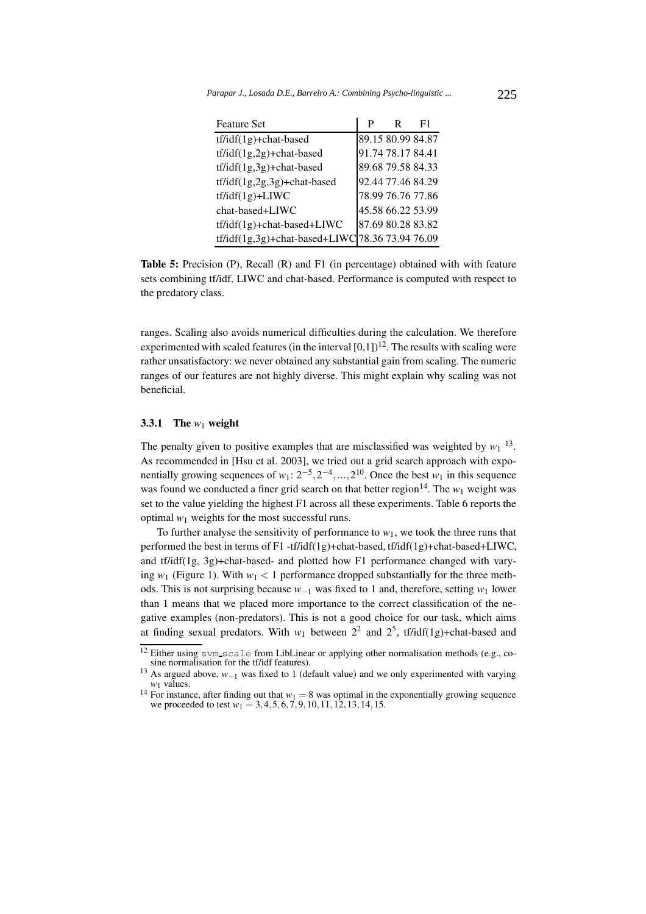| <b>Feature Set</b>                              | P                 | R | F1 |
|-------------------------------------------------|-------------------|---|----|
| $tf/idf(1g) + chat-based$                       | 89.15 80.99 84.87 |   |    |
| $tf/idf(1g,2g) + chat-based$                    | 91.74 78.17 84.41 |   |    |
| $tf/idf(1g,3g) + chat-based$                    | 89.68 79.58 84.33 |   |    |
| $tf/idf(1g, 2g, 3g) + chat-based$               | 92.44 77.46 84.29 |   |    |
| $tf/idf(1g) + LIWC$                             | 78.99 76.76 77.86 |   |    |
| chat-based+LIWC                                 | 45.58 66.22 53.99 |   |    |
| $tf/idf(1g) + chat-based + LIWC$                | 87.69 80.28 83.82 |   |    |
| tf/idf(1g,3g)+chat-based+LIWC 78.36 73.94 76.09 |                   |   |    |

Table 5: Precision (P), Recall (R) and F1 (in percentage) obtained with with feature sets combining tf/idf, LIWC and chat-based. Performance is computed with respect to the predatory class.

ranges. Scaling also avoids numerical difficulties during the calculation. We therefore experimented with scaled features (in the interval  $[0,1]$ )<sup>12</sup>. The results with scaling were rather unsatisfactory: we never obtained any substantial gain from scaling. The numeric ranges of our features are not highly diverse. This might explain why scaling was not beneficial.

#### 3.3.1 The  $w_1$  weight

The penalty given to positive examples that are misclassified was weighted by  $w_1$ <sup>13</sup>. As recommended in [Hsu et al. 2003], we tried out a grid search approach with exponentially growing sequences of  $w_1: 2^{-5}, 2^{-4}, ..., 2^{10}$ . Once the best  $w_1$  in this sequence was found we conducted a finer grid search on that better region<sup>14</sup>. The  $w_1$  weight was set to the value yielding the highest F1 across all these experiments. Table 6 reports the optimal  $w_1$  weights for the most successful runs.

To further analyse the sensitivity of performance to  $w_1$ , we took the three runs that performed the best in terms of F1 -tf/idf(1g)+chat-based, tf/idf(1g)+chat-based+LIWC, and tf/idf(1g, 3g)+chat-based- and plotted how F1 performance changed with varying  $w_1$  (Figure 1). With  $w_1 < 1$  performance dropped substantially for the three methods. This is not surprising because *w−*<sup>1</sup> was fixed to 1 and, therefore, setting *w*<sup>1</sup> lower than 1 means that we placed more importance to the correct classification of the negative examples (non-predators). This is not a good choice for our task, which aims at finding sexual predators. With  $w_1$  between  $2^2$  and  $2^5$ , tf/idf(1g)+chat-based and

 $12$  Either using svm\_scale from LibLinear or applying other normalisation methods (e.g., cosine normalisation for the tf/idf features).

<sup>13</sup> As argued above, *<sup>w</sup>−*<sup>1</sup> was fixed to 1 (default value) and we only experimented with varying *<sup>w</sup>*<sup>1</sup> values.

<sup>&</sup>lt;sup>14</sup> For instance, after finding out that  $w_1 = 8$  was optimal in the exponentially growing sequence we proceeded to test *w*<sup>1</sup> = 3*,*4*,*5*,*6*,*7*,*9*,*10*,*11*,*12*,*13*,*14*,*15.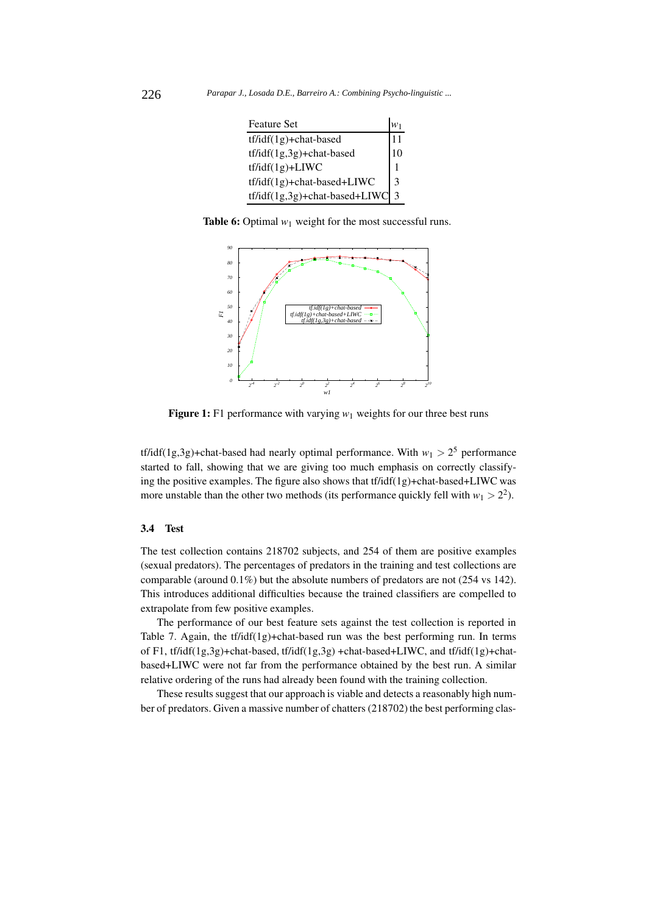| <b>Feature Set</b>                                                                                                                                                                                                                                                                                                                                                                                                                                                                                                                                                           |                    |
|------------------------------------------------------------------------------------------------------------------------------------------------------------------------------------------------------------------------------------------------------------------------------------------------------------------------------------------------------------------------------------------------------------------------------------------------------------------------------------------------------------------------------------------------------------------------------|--------------------|
| tf/idf(1g)+chat-based                                                                                                                                                                                                                                                                                                                                                                                                                                                                                                                                                        | 11                 |
| $tf/idf(1g,3g) + chat-based$                                                                                                                                                                                                                                                                                                                                                                                                                                                                                                                                                 | 10                 |
| $tf/idf(1g) + LIWC$                                                                                                                                                                                                                                                                                                                                                                                                                                                                                                                                                          |                    |
| $tf\rightarrow$ $tf\rightarrow$ $f\rightarrow$ $f\rightarrow$ $f\rightarrow$ $f\rightarrow$ $f\rightarrow$ $f\rightarrow$ $f\rightarrow$ $f\rightarrow$ $f\rightarrow$ $f\rightarrow$ $f\rightarrow$ $f\rightarrow$ $f\rightarrow$ $f\rightarrow$ $f\rightarrow$ $f\rightarrow$ $f\rightarrow$ $f\rightarrow$ $f\rightarrow$ $f\rightarrow$ $f\rightarrow$ $f\rightarrow$ $f\rightarrow$ $f\rightarrow$ $f\rightarrow$ $f\rightarrow$ $f\rightarrow$ $f\rightarrow$ $f\rightarrow$ $f\rightarrow$ $f\rightarrow$ $f\rightarrow$ $f\rightarrow$ $f\rightarrow$ $f\rightarrow$ | 3                  |
| tf/idf(1g,3g)+chat-based+LIWC                                                                                                                                                                                                                                                                                                                                                                                                                                                                                                                                                | $\mathbf{\hat{z}}$ |

**Table 6:** Optimal  $w_1$  weight for the most successful runs.



Figure 1: F1 performance with varying  $w_1$  weights for our three best runs

tf/idf(1g,3g)+chat-based had nearly optimal performance. With  $w_1 > 2^5$  performance started to fall, showing that we are giving too much emphasis on correctly classifying the positive examples. The figure also shows that tf/idf(1g)+chat-based+LIWC was more unstable than the other two methods (its performance quickly fell with  $w_1 > 2^2$ ).

## 3.4 Test

The test collection contains 218702 subjects, and 254 of them are positive examples (sexual predators). The percentages of predators in the training and test collections are comparable (around 0.1%) but the absolute numbers of predators are not (254 vs 142). This introduces additional difficulties because the trained classifiers are compelled to extrapolate from few positive examples.

The performance of our best feature sets against the test collection is reported in Table 7. Again, the  $tf\rightarrow f\rightarrow f$  that-based run was the best performing run. In terms of F1, tf/idf(1g,3g)+chat-based, tf/idf(1g,3g) +chat-based+LIWC, and tf/idf(1g)+chatbased+LIWC were not far from the performance obtained by the best run. A similar relative ordering of the runs had already been found with the training collection.

These results suggest that our approach is viable and detects a reasonably high number of predators. Given a massive number of chatters (218702) the best performing clas-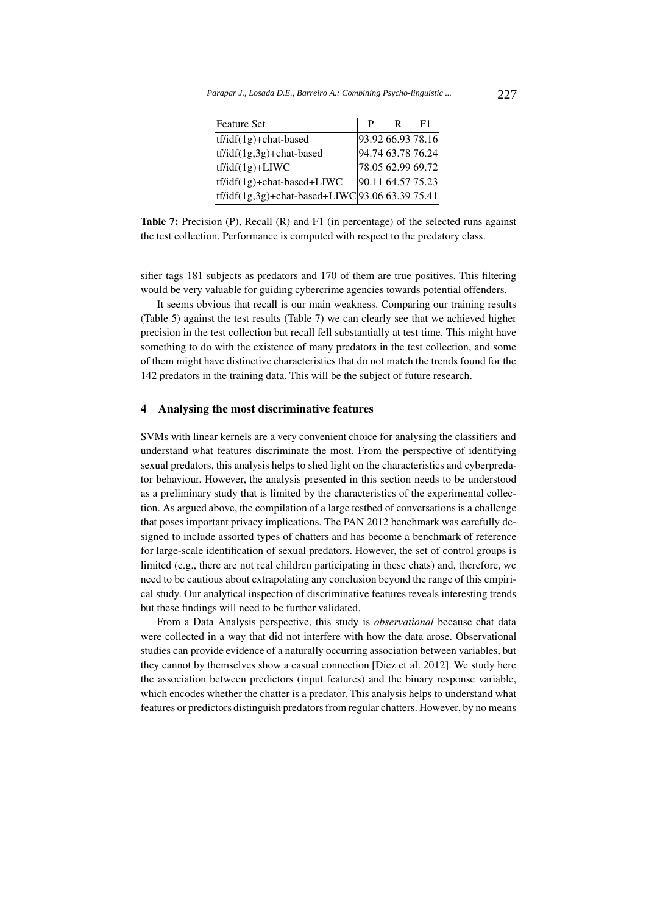| <b>Feature Set</b>                              | р                 | R. | F1 |
|-------------------------------------------------|-------------------|----|----|
| $tf\ddot{\text{if}}(1g) + \text{chat-based}$    | 93.92 66.93 78.16 |    |    |
| $tf/idf(1g,3g) + chat-based$                    | 94.74 63.78 76.24 |    |    |
| $tf\ddot{\iota}df(1g) + LIWC$                   | 78.05 62.99 69.72 |    |    |
| $tf/idf(1g) + chat-based + LIWC$                | 90.11 64.57 75.23 |    |    |
| tf/idf(1g,3g)+chat-based+LIWC 93.06 63.39 75.41 |                   |    |    |

Table 7: Precision (P), Recall (R) and F1 (in percentage) of the selected runs against the test collection. Performance is computed with respect to the predatory class.

sifier tags 181 subjects as predators and 170 of them are true positives. This filtering would be very valuable for guiding cybercrime agencies towards potential offenders.

It seems obvious that recall is our main weakness. Comparing our training results (Table 5) against the test results (Table 7) we can clearly see that we achieved higher precision in the test collection but recall fell substantially at test time. This might have something to do with the existence of many predators in the test collection, and some of them might have distinctive characteristics that do not match the trends found for the 142 predators in the training data. This will be the subject of future research.

# 4 Analysing the most discriminative features

SVMs with linear kernels are a very convenient choice for analysing the classifiers and understand what features discriminate the most. From the perspective of identifying sexual predators, this analysis helps to shed light on the characteristics and cyberpredator behaviour. However, the analysis presented in this section needs to be understood as a preliminary study that is limited by the characteristics of the experimental collection. As argued above, the compilation of a large testbed of conversations is a challenge that poses important privacy implications. The PAN 2012 benchmark was carefully designed to include assorted types of chatters and has become a benchmark of reference for large-scale identification of sexual predators. However, the set of control groups is limited (e.g., there are not real children participating in these chats) and, therefore, we need to be cautious about extrapolating any conclusion beyond the range of this empirical study. Our analytical inspection of discriminative features reveals interesting trends but these findings will need to be further validated.

From a Data Analysis perspective, this study is *observational* because chat data were collected in a way that did not interfere with how the data arose. Observational studies can provide evidence of a naturally occurring association between variables, but they cannot by themselves show a casual connection [Diez et al. 2012]. We study here the association between predictors (input features) and the binary response variable, which encodes whether the chatter is a predator. This analysis helps to understand what features or predictors distinguish predators from regular chatters. However, by no means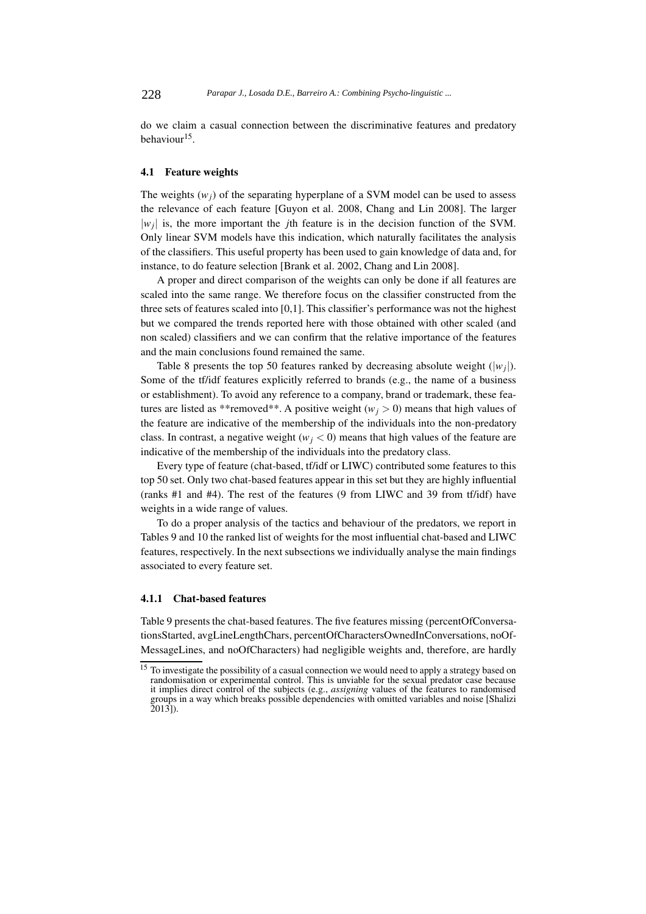do we claim a casual connection between the discriminative features and predatory behaviour<sup>15</sup>.

#### 4.1 Feature weights

The weights  $(w_i)$  of the separating hyperplane of a SVM model can be used to assess the relevance of each feature [Guyon et al. 2008, Chang and Lin 2008]. The larger *|wj|* is, the more important the *j*th feature is in the decision function of the SVM. Only linear SVM models have this indication, which naturally facilitates the analysis of the classifiers. This useful property has been used to gain knowledge of data and, for instance, to do feature selection [Brank et al. 2002, Chang and Lin 2008].

A proper and direct comparison of the weights can only be done if all features are scaled into the same range. We therefore focus on the classifier constructed from the three sets of features scaled into [0,1]. This classifier's performance was not the highest but we compared the trends reported here with those obtained with other scaled (and non scaled) classifiers and we can confirm that the relative importance of the features and the main conclusions found remained the same.

Table 8 presents the top 50 features ranked by decreasing absolute weight  $(|w_i|)$ . Some of the tf/idf features explicitly referred to brands (e.g., the name of a business or establishment). To avoid any reference to a company, brand or trademark, these features are listed as \*\*removed\*\*. A positive weight ( $w_j > 0$ ) means that high values of the feature are indicative of the membership of the individuals into the non-predatory class. In contrast, a negative weight ( $w_i$  < 0) means that high values of the feature are indicative of the membership of the individuals into the predatory class.

Every type of feature (chat-based, tf/idf or LIWC) contributed some features to this top 50 set. Only two chat-based features appear in this set but they are highly influential (ranks #1 and #4). The rest of the features (9 from LIWC and 39 from tf/idf) have weights in a wide range of values.

To do a proper analysis of the tactics and behaviour of the predators, we report in Tables 9 and 10 the ranked list of weights for the most influential chat-based and LIWC features, respectively. In the next subsections we individually analyse the main findings associated to every feature set.

## 4.1.1 Chat-based features

Table 9 presents the chat-based features. The five features missing (percentOfConversationsStarted, avgLineLengthChars, percentOfCharactersOwnedInConversations, noOf-MessageLines, and noOfCharacters) had negligible weights and, therefore, are hardly

<sup>&</sup>lt;sup>15</sup> To investigate the possibility of a casual connection we would need to apply a strategy based on randomisation or experimental control. This is unviable for the sexual predator case because it implies direct control of the subjects (e.g., *assigning* values of the features to randomised groups in a way which breaks possible dependencies with omitted variables and noise [Shalizi 2013]).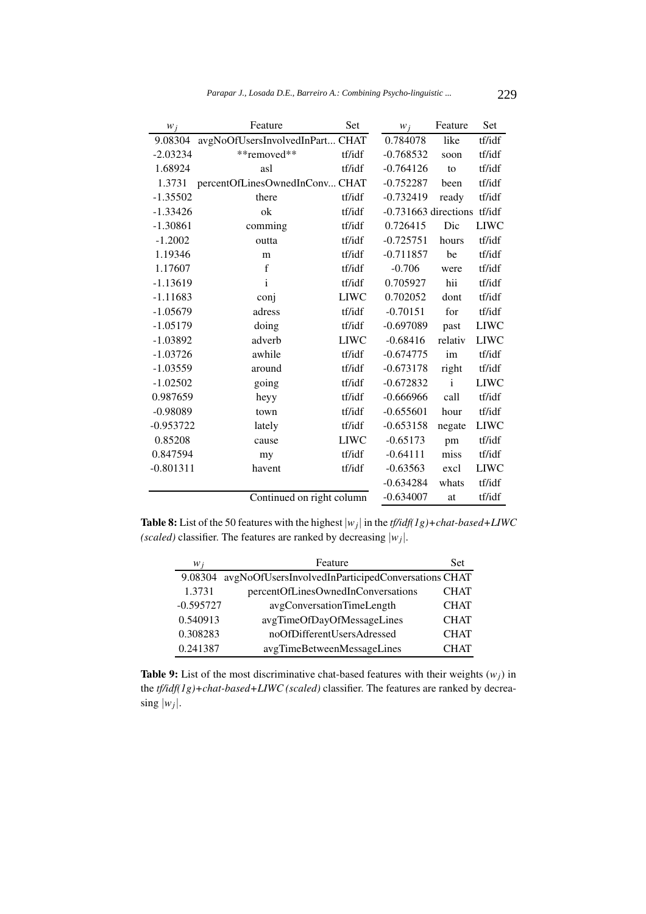| $W_j$       | Feature                         | Set         | $W_i$                  | Feature | Set         |
|-------------|---------------------------------|-------------|------------------------|---------|-------------|
| 9.08304     | avgNoOfUsersInvolvedInPart CHAT |             | 0.784078               | like    | tf/idf      |
| $-2.03234$  | **removed**                     | tf/idf      | $-0.768532$            | soon    | tf/idf      |
| 1.68924     | asl                             | tf/idf      | $-0.764126$            | to      | tf/idf      |
| 1.3731      | percentOfLinesOwnedInConv CHAT  |             | $-0.752287$            | been    | tf/idf      |
| $-1.35502$  | there                           | tf/idf      | $-0.732419$            | ready   | tf/idf      |
| $-1.33426$  | ok                              | tf/idf      | $-0.731663$ directions |         | tf/idf      |
| $-1.30861$  | comming                         | tf/idf      | 0.726415               | Dic     | <b>LIWC</b> |
| $-1.2002$   | outta                           | tf/idf      | $-0.725751$            | hours   | tf/idf      |
| 1.19346     | m                               | tf/idf      | $-0.711857$            | be      | tf/idf      |
| 1.17607     | $\mathbf f$                     | tf/idf      | $-0.706$               | were    | tf/idf      |
| $-1.13619$  | i                               | tf/idf      | 0.705927               | hii     | tf/idf      |
| $-1.11683$  | conj                            | <b>LIWC</b> | 0.702052               | dont    | tf/idf      |
| $-1.05679$  | adress                          | tf/idf      | $-0.70151$             | for     | tf/idf      |
| $-1.05179$  | doing                           | tf/idf      | $-0.697089$            | past    | <b>LIWC</b> |
| $-1.03892$  | adverb                          | <b>LIWC</b> | $-0.68416$             | relativ | <b>LIWC</b> |
| $-1.03726$  | awhile                          | tf/idf      | $-0.674775$            | im      | tf/idf      |
| $-1.03559$  | around                          | tf/idf      | $-0.673178$            | right   | tf/idf      |
| $-1.02502$  | going                           | tf/idf      | $-0.672832$            | i       | <b>LIWC</b> |
| 0.987659    | heyy                            | tf/idf      | $-0.666966$            | call    | tf/idf      |
| $-0.98089$  | town                            | tf/idf      | $-0.655601$            | hour    | tf/idf      |
| $-0.953722$ | lately                          | tf/idf      | $-0.653158$            | negate  | <b>LIWC</b> |
| 0.85208     | cause                           | <b>LIWC</b> | $-0.65173$             | pm      | tf/idf      |
| 0.847594    | my                              | tf/idf      | $-0.64111$             | miss    | tf/idf      |
| $-0.801311$ | havent                          | tf/idf      | $-0.63563$             | excl    | <b>LIWC</b> |
|             |                                 |             | $-0.634284$            | whats   | tf/idf      |
|             | Continued on right column       |             | $-0.634007$            | at      | tf/idf      |

**Table 8:** List of the 50 features with the highest  $|w_j|$  in the *tf/idf(1g)+chat-based+LIWC (scaled)* classifier. The features are ranked by decreasing  $|w_j|$ .

| $W_i$       | Feature                                            | Set         |
|-------------|----------------------------------------------------|-------------|
| 9.08304     | avgNoOfUsersInvolvedInParticipedConversations CHAT |             |
| 1.3731      | percentOfLinesOwnedInConversations                 | <b>CHAT</b> |
| $-0.595727$ | avgConversationTimeLength                          | <b>CHAT</b> |
| 0.540913    | avgTimeOfDayOfMessageLines                         | <b>CHAT</b> |
| 0.308283    | noOfDifferentUsersAdressed                         | <b>CHAT</b> |
| 0.241387    | avgTimeBetweenMessageLines                         | <b>CHAT</b> |

**Table 9:** List of the most discriminative chat-based features with their weights  $(w_i)$  in the *tf/idf(1g)+chat-based+LIWC (scaled)* classifier. The features are ranked by decreasing  $|w_j|$ .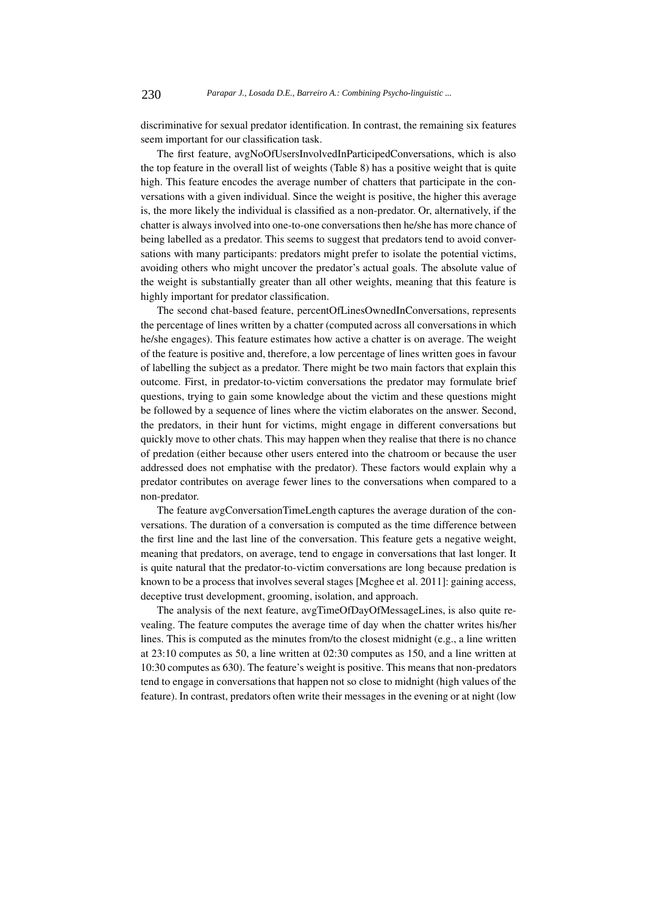discriminative for sexual predator identification. In contrast, the remaining six features seem important for our classification task.

The first feature, avgNoOfUsersInvolvedInParticipedConversations, which is also the top feature in the overall list of weights (Table 8) has a positive weight that is quite high. This feature encodes the average number of chatters that participate in the conversations with a given individual. Since the weight is positive, the higher this average is, the more likely the individual is classified as a non-predator. Or, alternatively, if the chatter is always involved into one-to-one conversations then he/she has more chance of being labelled as a predator. This seems to suggest that predators tend to avoid conversations with many participants: predators might prefer to isolate the potential victims, avoiding others who might uncover the predator's actual goals. The absolute value of the weight is substantially greater than all other weights, meaning that this feature is highly important for predator classification.

The second chat-based feature, percentOfLinesOwnedInConversations, represents the percentage of lines written by a chatter (computed across all conversations in which he/she engages). This feature estimates how active a chatter is on average. The weight of the feature is positive and, therefore, a low percentage of lines written goes in favour of labelling the subject as a predator. There might be two main factors that explain this outcome. First, in predator-to-victim conversations the predator may formulate brief questions, trying to gain some knowledge about the victim and these questions might be followed by a sequence of lines where the victim elaborates on the answer. Second, the predators, in their hunt for victims, might engage in different conversations but quickly move to other chats. This may happen when they realise that there is no chance of predation (either because other users entered into the chatroom or because the user addressed does not emphatise with the predator). These factors would explain why a predator contributes on average fewer lines to the conversations when compared to a non-predator.

The feature avgConversationTimeLength captures the average duration of the conversations. The duration of a conversation is computed as the time difference between the first line and the last line of the conversation. This feature gets a negative weight, meaning that predators, on average, tend to engage in conversations that last longer. It is quite natural that the predator-to-victim conversations are long because predation is known to be a process that involves several stages [Mcghee et al. 2011]: gaining access, deceptive trust development, grooming, isolation, and approach.

The analysis of the next feature, avgTimeOfDayOfMessageLines, is also quite revealing. The feature computes the average time of day when the chatter writes his/her lines. This is computed as the minutes from/to the closest midnight (e.g., a line written at 23:10 computes as 50, a line written at 02:30 computes as 150, and a line written at 10:30 computes as 630). The feature's weight is positive. This means that non-predators tend to engage in conversations that happen not so close to midnight (high values of the feature). In contrast, predators often write their messages in the evening or at night (low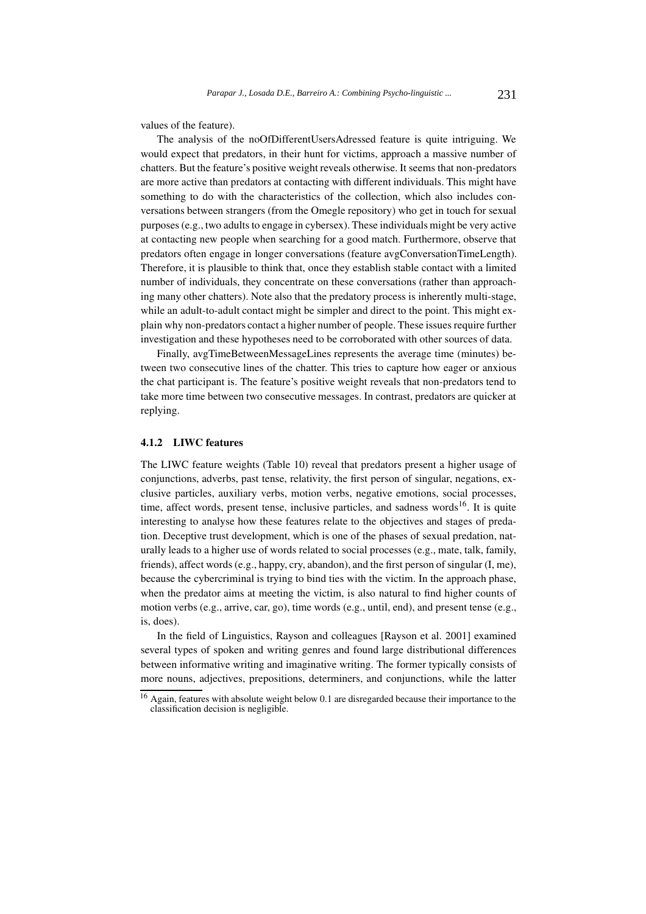values of the feature).

The analysis of the noOfDifferentUsersAdressed feature is quite intriguing. We would expect that predators, in their hunt for victims, approach a massive number of chatters. But the feature's positive weight reveals otherwise. It seems that non-predators are more active than predators at contacting with different individuals. This might have something to do with the characteristics of the collection, which also includes conversations between strangers (from the Omegle repository) who get in touch for sexual purposes (e.g., two adults to engage in cybersex). These individuals might be very active at contacting new people when searching for a good match. Furthermore, observe that predators often engage in longer conversations (feature avgConversationTimeLength). Therefore, it is plausible to think that, once they establish stable contact with a limited number of individuals, they concentrate on these conversations (rather than approaching many other chatters). Note also that the predatory process is inherently multi-stage, while an adult-to-adult contact might be simpler and direct to the point. This might explain why non-predators contact a higher number of people. These issues require further investigation and these hypotheses need to be corroborated with other sources of data.

Finally, avgTimeBetweenMessageLines represents the average time (minutes) between two consecutive lines of the chatter. This tries to capture how eager or anxious the chat participant is. The feature's positive weight reveals that non-predators tend to take more time between two consecutive messages. In contrast, predators are quicker at replying.

#### 4.1.2 LIWC features

The LIWC feature weights (Table 10) reveal that predators present a higher usage of conjunctions, adverbs, past tense, relativity, the first person of singular, negations, exclusive particles, auxiliary verbs, motion verbs, negative emotions, social processes, time, affect words, present tense, inclusive particles, and sadness words<sup>16</sup>. It is quite interesting to analyse how these features relate to the objectives and stages of predation. Deceptive trust development, which is one of the phases of sexual predation, naturally leads to a higher use of words related to social processes (e.g., mate, talk, family, friends), affect words (e.g., happy, cry, abandon), and the first person of singular (I, me), because the cybercriminal is trying to bind ties with the victim. In the approach phase, when the predator aims at meeting the victim, is also natural to find higher counts of motion verbs (e.g., arrive, car, go), time words (e.g., until, end), and present tense (e.g., is, does).

In the field of Linguistics, Rayson and colleagues [Rayson et al. 2001] examined several types of spoken and writing genres and found large distributional differences between informative writing and imaginative writing. The former typically consists of more nouns, adjectives, prepositions, determiners, and conjunctions, while the latter

 $\frac{16}{16}$  Again, features with absolute weight below 0.1 are disregarded because their importance to the classification decision is negligible.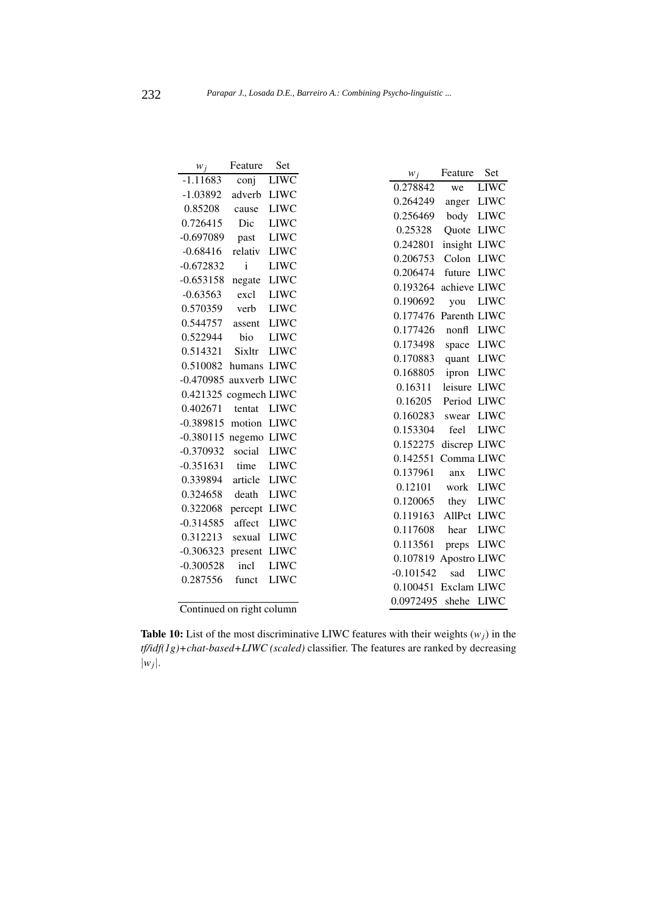| $W_i$                     | Feature      | Set         |                                   |                     |                            |
|---------------------------|--------------|-------------|-----------------------------------|---------------------|----------------------------|
| $-1.11683$                | conj         | <b>LIWC</b> | $W_i$<br>0.278842                 | Feature             | Set                        |
| $-1.03892$                | adverb       | <b>LIWC</b> |                                   | we                  | <b>LIWC</b>                |
| 0.85208                   | cause        | <b>LIWC</b> | 0.264249                          | anger               | <b>LIWC</b>                |
| 0.726415                  | Dic          | <b>LIWC</b> | 0.256469                          | body                | <b>LIWC</b>                |
| $-0.697089$               | past         | <b>LIWC</b> | 0.25328                           | Quote LIWC          |                            |
| $-0.68416$                | relativ      | <b>LIWC</b> | 0.242801                          | insight LIWC        |                            |
| $-0.672832$               | $\mathbf{i}$ | <b>LIWC</b> | 0.206753                          | Colon LIWC          |                            |
| $-0.653158$               | negate       | <b>LIWC</b> | 0.206474                          | future LIWC         |                            |
| $-0.63563$                | excl         | <b>LIWC</b> | 0.193264                          | achieve LIWC        |                            |
| 0.570359                  | verb         | <b>LIWC</b> | 0.190692                          | you                 | <b>LIWC</b>                |
| 0.544757                  | assent       | <b>LIWC</b> | 0.177476 Parenth LIWC             |                     |                            |
| 0.522944                  | bio          | <b>LIWC</b> | 0.177426                          | nonfl               | LIWC                       |
| 0.514321                  | Sixltr       | <b>LIWC</b> | 0.173498                          | space               | <b>LIWC</b>                |
| 0.510082                  | humans LIWC  |             | 0.170883                          | quant LIWC          |                            |
| -0.470985 auxverb LIWC    |              |             | 0.168805                          | ipron               | <b>LIWC</b>                |
| 0.421325 cogmech LIWC     |              |             | 0.16311                           | leisure LIWC        |                            |
| 0.402671                  | tentat       | <b>LIWC</b> | 0.16205                           | Period LIWC         |                            |
| $-0.389815$               | motion LIWC  |             | 0.160283                          | swear               | <b>LIWC</b><br><b>LIWC</b> |
| $-0.380115$ negemo LIWC   |              |             | 0.153304                          | feel                |                            |
| $-0.370932$               | social       | <b>LIWC</b> | 0.152275                          | discrep LIWC        |                            |
| $-0.351631$               | time         | <b>LIWC</b> | 0.142551                          | Comma LIWC          |                            |
| 0.339894                  | article      | <b>LIWC</b> | 0.137961                          | anx                 | <b>LIWC</b>                |
| 0.324658                  | death        | <b>LIWC</b> | 0.12101                           | work                | <b>LIWC</b>                |
| 0.322068                  | percept LIWC |             | 0.120065                          | they<br>AllPct LIWC | <b>LIWC</b>                |
| $-0.314585$               | affect       | <b>LIWC</b> | 0.119163<br>0.117608              | hear                | <b>LIWC</b>                |
| 0.312213                  | sexual       | <b>LIWC</b> | 0.113561                          |                     |                            |
| $-0.306323$               | present LIWC |             |                                   | preps               | <b>LIWC</b>                |
| $-0.300528$               | incl         | <b>LIWC</b> | 0.107819 Apostro LIWC             |                     |                            |
| 0.287556                  | funct        | <b>LIWC</b> | $-0.101542$                       | sad                 | <b>LIWC</b>                |
|                           |              |             | 0.100451 Exclam LIWC<br>0.0972495 |                     |                            |
| Continued on right column |              |             |                                   | shehe               | LIWC                       |

**Table 10:** List of the most discriminative LIWC features with their weights  $(w_i)$  in the *tf/idf(1g)+chat-based+LIWC (scaled)* classifier. The features are ranked by decreasing *|wj|*.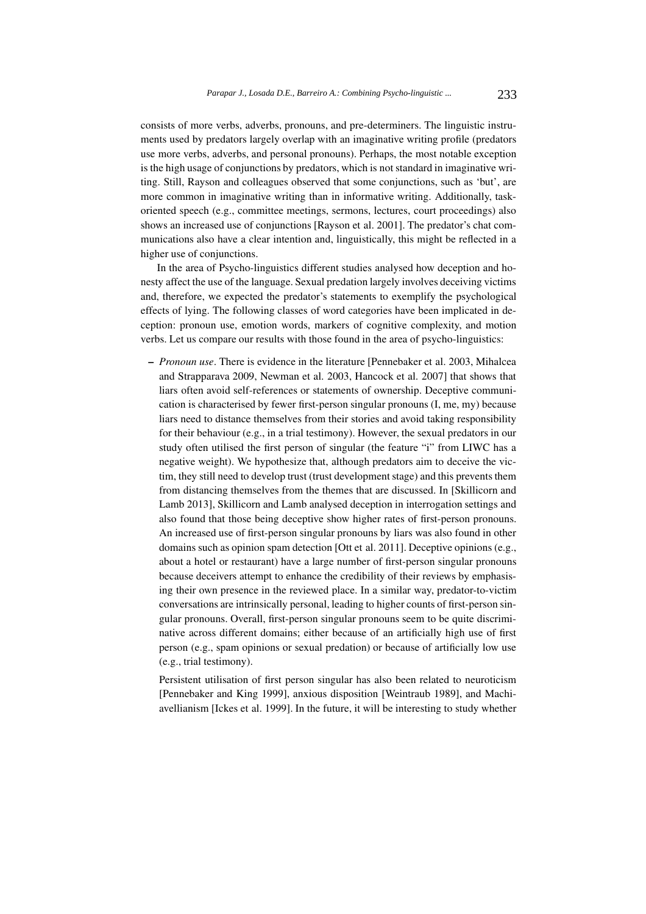consists of more verbs, adverbs, pronouns, and pre-determiners. The linguistic instruments used by predators largely overlap with an imaginative writing profile (predators use more verbs, adverbs, and personal pronouns). Perhaps, the most notable exception is the high usage of conjunctions by predators, which is not standard in imaginative writing. Still, Rayson and colleagues observed that some conjunctions, such as 'but', are more common in imaginative writing than in informative writing. Additionally, taskoriented speech (e.g., committee meetings, sermons, lectures, court proceedings) also shows an increased use of conjunctions [Rayson et al. 2001]. The predator's chat communications also have a clear intention and, linguistically, this might be reflected in a higher use of conjunctions.

In the area of Psycho-linguistics different studies analysed how deception and honesty affect the use of the language. Sexual predation largely involves deceiving victims and, therefore, we expected the predator's statements to exemplify the psychological effects of lying. The following classes of word categories have been implicated in deception: pronoun use, emotion words, markers of cognitive complexity, and motion verbs. Let us compare our results with those found in the area of psycho-linguistics:

– *Pronoun use*. There is evidence in the literature [Pennebaker et al. 2003, Mihalcea and Strapparava 2009, Newman et al. 2003, Hancock et al. 2007] that shows that liars often avoid self-references or statements of ownership. Deceptive communication is characterised by fewer first-person singular pronouns (I, me, my) because liars need to distance themselves from their stories and avoid taking responsibility for their behaviour (e.g., in a trial testimony). However, the sexual predators in our study often utilised the first person of singular (the feature "i" from LIWC has a negative weight). We hypothesize that, although predators aim to deceive the victim, they still need to develop trust (trust development stage) and this prevents them from distancing themselves from the themes that are discussed. In [Skillicorn and Lamb 2013], Skillicorn and Lamb analysed deception in interrogation settings and also found that those being deceptive show higher rates of first-person pronouns. An increased use of first-person singular pronouns by liars was also found in other domains such as opinion spam detection [Ott et al. 2011]. Deceptive opinions (e.g., about a hotel or restaurant) have a large number of first-person singular pronouns because deceivers attempt to enhance the credibility of their reviews by emphasising their own presence in the reviewed place. In a similar way, predator-to-victim conversations are intrinsically personal, leading to higher counts of first-person singular pronouns. Overall, first-person singular pronouns seem to be quite discriminative across different domains; either because of an artificially high use of first person (e.g., spam opinions or sexual predation) or because of artificially low use (e.g., trial testimony).

Persistent utilisation of first person singular has also been related to neuroticism [Pennebaker and King 1999], anxious disposition [Weintraub 1989], and Machiavellianism [Ickes et al. 1999]. In the future, it will be interesting to study whether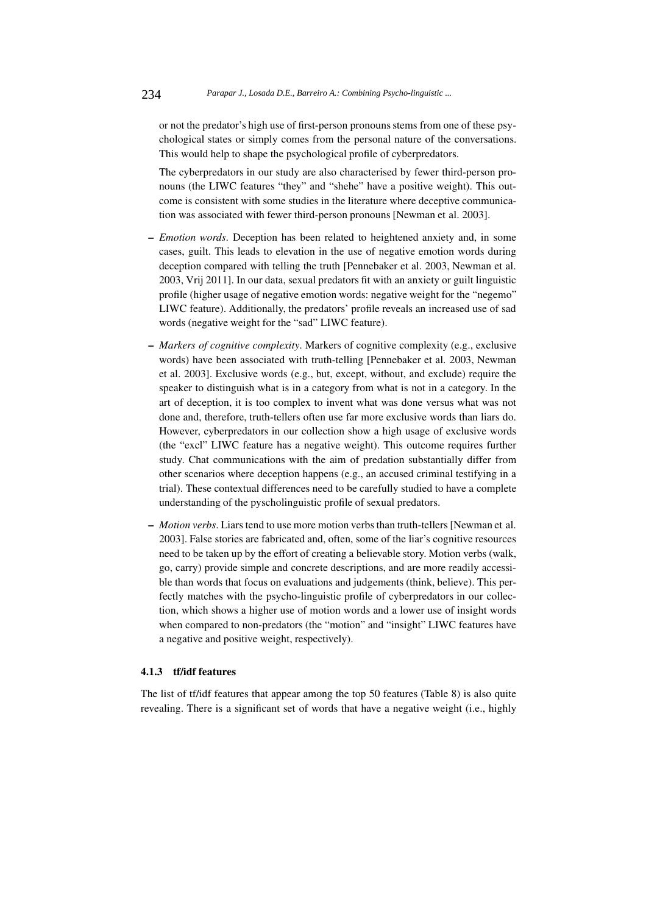or not the predator's high use of first-person pronouns stems from one of these psychological states or simply comes from the personal nature of the conversations. This would help to shape the psychological profile of cyberpredators.

The cyberpredators in our study are also characterised by fewer third-person pronouns (the LIWC features "they" and "shehe" have a positive weight). This outcome is consistent with some studies in the literature where deceptive communication was associated with fewer third-person pronouns [Newman et al. 2003].

- *Emotion words*. Deception has been related to heightened anxiety and, in some cases, guilt. This leads to elevation in the use of negative emotion words during deception compared with telling the truth [Pennebaker et al. 2003, Newman et al. 2003, Vrij 2011]. In our data, sexual predators fit with an anxiety or guilt linguistic profile (higher usage of negative emotion words: negative weight for the "negemo" LIWC feature). Additionally, the predators' profile reveals an increased use of sad words (negative weight for the "sad" LIWC feature).
- *Markers of cognitive complexity*. Markers of cognitive complexity (e.g., exclusive words) have been associated with truth-telling [Pennebaker et al. 2003, Newman et al. 2003]. Exclusive words (e.g., but, except, without, and exclude) require the speaker to distinguish what is in a category from what is not in a category. In the art of deception, it is too complex to invent what was done versus what was not done and, therefore, truth-tellers often use far more exclusive words than liars do. However, cyberpredators in our collection show a high usage of exclusive words (the "excl" LIWC feature has a negative weight). This outcome requires further study. Chat communications with the aim of predation substantially differ from other scenarios where deception happens (e.g., an accused criminal testifying in a trial). These contextual differences need to be carefully studied to have a complete understanding of the pyscholinguistic profile of sexual predators.
- *Motion verbs*. Liars tend to use more motion verbs than truth-tellers [Newman et al. 2003]. False stories are fabricated and, often, some of the liar's cognitive resources need to be taken up by the effort of creating a believable story. Motion verbs (walk, go, carry) provide simple and concrete descriptions, and are more readily accessible than words that focus on evaluations and judgements (think, believe). This perfectly matches with the psycho-linguistic profile of cyberpredators in our collection, which shows a higher use of motion words and a lower use of insight words when compared to non-predators (the "motion" and "insight" LIWC features have a negative and positive weight, respectively).

## 4.1.3 tf/idf features

The list of tf/idf features that appear among the top 50 features (Table 8) is also quite revealing. There is a significant set of words that have a negative weight (i.e., highly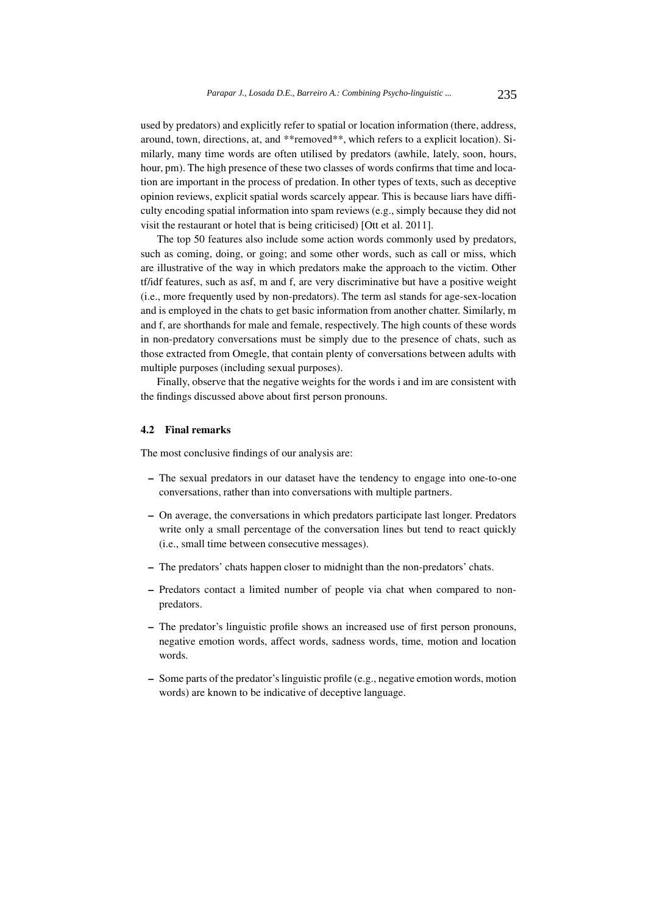used by predators) and explicitly refer to spatial or location information (there, address, around, town, directions, at, and \*\*removed\*\*, which refers to a explicit location). Similarly, many time words are often utilised by predators (awhile, lately, soon, hours, hour, pm). The high presence of these two classes of words confirms that time and location are important in the process of predation. In other types of texts, such as deceptive opinion reviews, explicit spatial words scarcely appear. This is because liars have difficulty encoding spatial information into spam reviews (e.g., simply because they did not visit the restaurant or hotel that is being criticised) [Ott et al. 2011].

The top 50 features also include some action words commonly used by predators, such as coming, doing, or going; and some other words, such as call or miss, which are illustrative of the way in which predators make the approach to the victim. Other tf/idf features, such as asf, m and f, are very discriminative but have a positive weight (i.e., more frequently used by non-predators). The term asl stands for age-sex-location and is employed in the chats to get basic information from another chatter. Similarly, m and f, are shorthands for male and female, respectively. The high counts of these words in non-predatory conversations must be simply due to the presence of chats, such as those extracted from Omegle, that contain plenty of conversations between adults with multiple purposes (including sexual purposes).

Finally, observe that the negative weights for the words i and im are consistent with the findings discussed above about first person pronouns.

#### 4.2 Final remarks

The most conclusive findings of our analysis are:

- The sexual predators in our dataset have the tendency to engage into one-to-one conversations, rather than into conversations with multiple partners.
- On average, the conversations in which predators participate last longer. Predators write only a small percentage of the conversation lines but tend to react quickly (i.e., small time between consecutive messages).
- The predators' chats happen closer to midnight than the non-predators' chats.
- Predators contact a limited number of people via chat when compared to nonpredators.
- The predator's linguistic profile shows an increased use of first person pronouns, negative emotion words, affect words, sadness words, time, motion and location words.
- Some parts of the predator's linguistic profile (e.g., negative emotion words, motion words) are known to be indicative of deceptive language.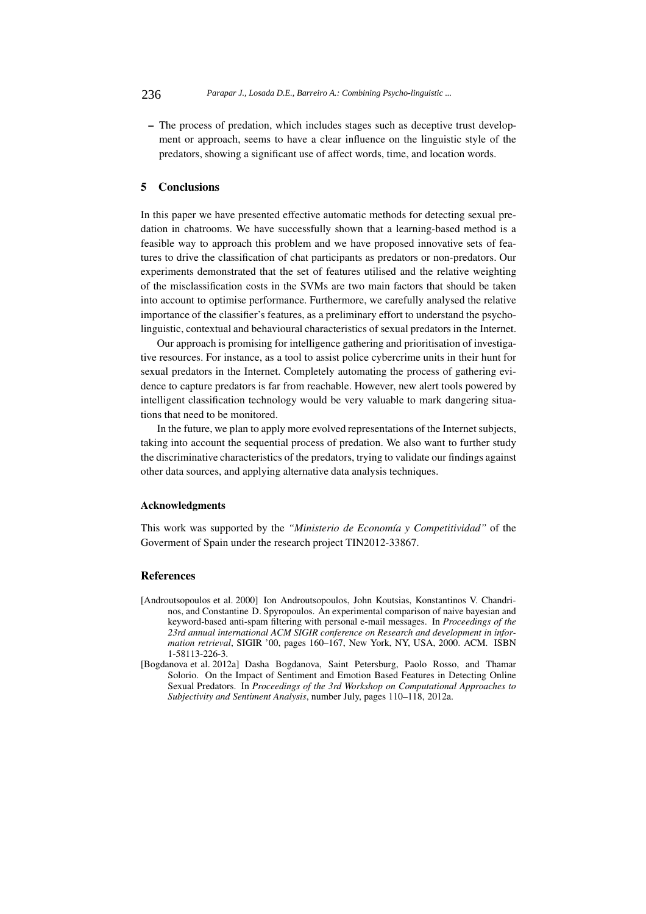– The process of predation, which includes stages such as deceptive trust development or approach, seems to have a clear influence on the linguistic style of the predators, showing a significant use of affect words, time, and location words.

# 5 Conclusions

In this paper we have presented effective automatic methods for detecting sexual predation in chatrooms. We have successfully shown that a learning-based method is a feasible way to approach this problem and we have proposed innovative sets of features to drive the classification of chat participants as predators or non-predators. Our experiments demonstrated that the set of features utilised and the relative weighting of the misclassification costs in the SVMs are two main factors that should be taken into account to optimise performance. Furthermore, we carefully analysed the relative importance of the classifier's features, as a preliminary effort to understand the psycholinguistic, contextual and behavioural characteristics of sexual predators in the Internet.

Our approach is promising for intelligence gathering and prioritisation of investigative resources. For instance, as a tool to assist police cybercrime units in their hunt for sexual predators in the Internet. Completely automating the process of gathering evidence to capture predators is far from reachable. However, new alert tools powered by intelligent classification technology would be very valuable to mark dangering situations that need to be monitored.

In the future, we plan to apply more evolved representations of the Internet subjects, taking into account the sequential process of predation. We also want to further study the discriminative characteristics of the predators, trying to validate our findings against other data sources, and applying alternative data analysis techniques.

#### Acknowledgments

This work was supported by the "Ministerio de Economía y Competitividad" of the Goverment of Spain under the research project TIN2012-33867.

## References

- [Androutsopoulos et al. 2000] Ion Androutsopoulos, John Koutsias, Konstantinos V. Chandrinos, and Constantine D. Spyropoulos. An experimental comparison of naive bayesian and keyword-based anti-spam filtering with personal e-mail messages. In *Proceedings of the 23rd annual international ACM SIGIR conference on Research and development in information retrieval*, SIGIR '00, pages 160–167, New York, NY, USA, 2000. ACM. ISBN 1-58113-226-3.
- [Bogdanova et al. 2012a] Dasha Bogdanova, Saint Petersburg, Paolo Rosso, and Thamar Solorio. On the Impact of Sentiment and Emotion Based Features in Detecting Online Sexual Predators. In *Proceedings of the 3rd Workshop on Computational Approaches to Subjectivity and Sentiment Analysis*, number July, pages 110–118, 2012a.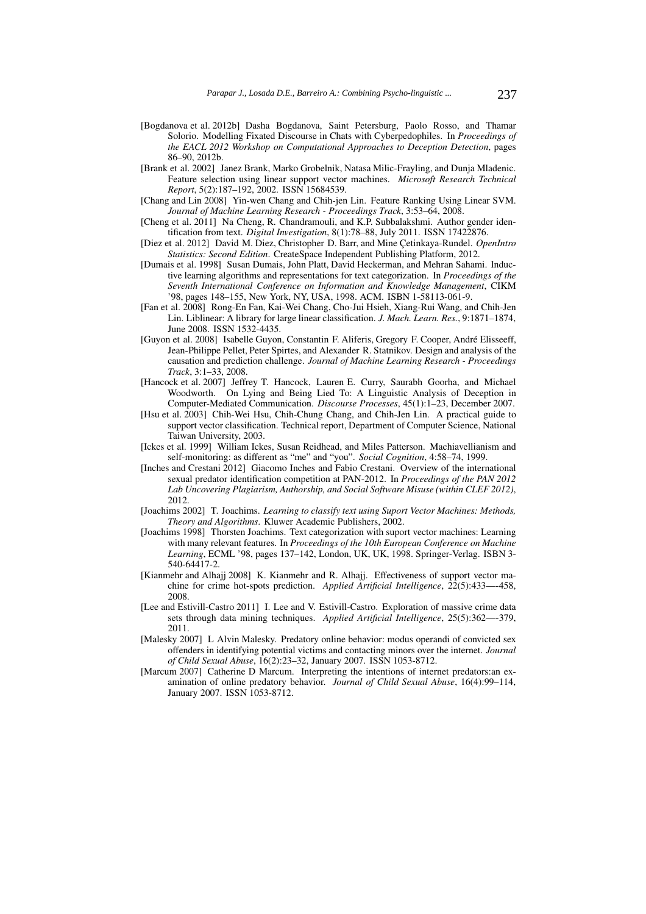- [Bogdanova et al. 2012b] Dasha Bogdanova, Saint Petersburg, Paolo Rosso, and Thamar Solorio. Modelling Fixated Discourse in Chats with Cyberpedophiles. In *Proceedings of the EACL 2012 Workshop on Computational Approaches to Deception Detection*, pages 86–90, 2012b.
- [Brank et al. 2002] Janez Brank, Marko Grobelnik, Natasa Milic-Frayling, and Dunja Mladenic. Feature selection using linear support vector machines. *Microsoft Research Technical Report*, 5(2):187–192, 2002. ISSN 15684539.
- [Chang and Lin 2008] Yin-wen Chang and Chih-jen Lin. Feature Ranking Using Linear SVM. *Journal of Machine Learning Research - Proceedings Track*, 3:53–64, 2008.
- [Cheng et al. 2011] Na Cheng, R. Chandramouli, and K.P. Subbalakshmi. Author gender identification from text. *Digital Investigation*, 8(1):78–88, July 2011. ISSN 17422876.
- [Diez et al. 2012] David M. Diez, Christopher D. Barr, and Mine Cetinkaya-Rundel. *OpenIntro Statistics: Second Edition*. CreateSpace Independent Publishing Platform, 2012.
- [Dumais et al. 1998] Susan Dumais, John Platt, David Heckerman, and Mehran Sahami. Inductive learning algorithms and representations for text categorization. In *Proceedings of the Seventh International Conference on Information and Knowledge Management*, CIKM '98, pages 148–155, New York, NY, USA, 1998. ACM. ISBN 1-58113-061-9.
- [Fan et al. 2008] Rong-En Fan, Kai-Wei Chang, Cho-Jui Hsieh, Xiang-Rui Wang, and Chih-Jen Lin. Liblinear: A library for large linear classification. *J. Mach. Learn. Res.*, 9:1871–1874, June 2008. ISSN 1532-4435.
- [Guyon et al. 2008] Isabelle Guyon, Constantin F. Aliferis, Gregory F. Cooper, André Elisseeff, Jean-Philippe Pellet, Peter Spirtes, and Alexander R. Statnikov. Design and analysis of the causation and prediction challenge. *Journal of Machine Learning Research - Proceedings Track*, 3:1–33, 2008.
- [Hancock et al. 2007] Jeffrey T. Hancock, Lauren E. Curry, Saurabh Goorha, and Michael Woodworth. On Lying and Being Lied To: A Linguistic Analysis of Deception in Computer-Mediated Communication. *Discourse Processes*, 45(1):1–23, December 2007.
- [Hsu et al. 2003] Chih-Wei Hsu, Chih-Chung Chang, and Chih-Jen Lin. A practical guide to support vector classification. Technical report, Department of Computer Science, National Taiwan University, 2003.
- [Ickes et al. 1999] William Ickes, Susan Reidhead, and Miles Patterson. Machiavellianism and self-monitoring: as different as "me" and "you". *Social Cognition*, 4:58–74, 1999.
- [Inches and Crestani 2012] Giacomo Inches and Fabio Crestani. Overview of the international sexual predator identification competition at PAN-2012. In *Proceedings of the PAN 2012 Lab Uncovering Plagiarism, Authorship, and Social Software Misuse (within CLEF 2012)*, 2012.
- [Joachims 2002] T. Joachims. *Learning to classify text using Suport Vector Machines: Methods, Theory and Algorithms*. Kluwer Academic Publishers, 2002.
- [Joachims 1998] Thorsten Joachims. Text categorization with suport vector machines: Learning with many relevant features. In *Proceedings of the 10th European Conference on Machine Learning*, ECML '98, pages 137–142, London, UK, UK, 1998. Springer-Verlag. ISBN 3- 540-64417-2.
- [Kianmehr and Alhajj 2008] K. Kianmehr and R. Alhajj. Effectiveness of support vector machine for crime hot-spots prediction. *Applied Artificial Intelligence*, 22(5):433—-458, 2008.
- [Lee and Estivill-Castro 2011] I. Lee and V. Estivill-Castro. Exploration of massive crime data sets through data mining techniques. *Applied Artificial Intelligence*, 25(5):362—-379, 2011.
- [Malesky 2007] L Alvin Malesky. Predatory online behavior: modus operandi of convicted sex offenders in identifying potential victims and contacting minors over the internet. *Journal of Child Sexual Abuse*, 16(2):23–32, January 2007. ISSN 1053-8712.
- [Marcum 2007] Catherine D Marcum. Interpreting the intentions of internet predators:an examination of online predatory behavior. *Journal of Child Sexual Abuse*, 16(4):99–114, January 2007. ISSN 1053-8712.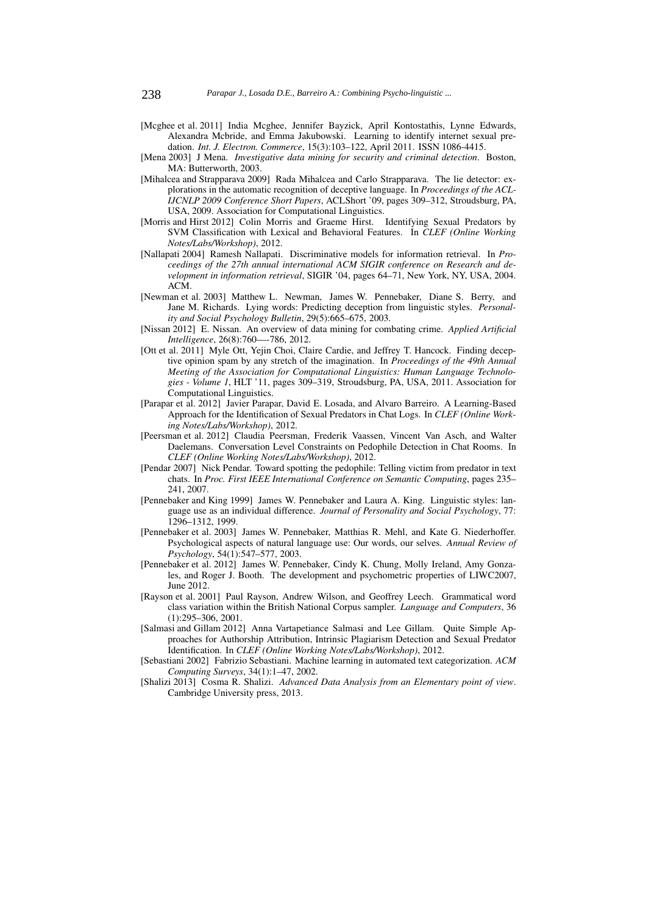- [Mcghee et al. 2011] India Mcghee, Jennifer Bayzick, April Kontostathis, Lynne Edwards, Alexandra Mcbride, and Emma Jakubowski. Learning to identify internet sexual predation. *Int. J. Electron. Commerce*, 15(3):103–122, April 2011. ISSN 1086-4415.
- [Mena 2003] J Mena. *Investigative data mining for security and criminal detection*. Boston, MA: Butterworth, 2003.
- [Mihalcea and Strapparava 2009] Rada Mihalcea and Carlo Strapparava. The lie detector: explorations in the automatic recognition of deceptive language. In *Proceedings of the ACL-IJCNLP 2009 Conference Short Papers*, ACLShort '09, pages 309–312, Stroudsburg, PA, USA, 2009. Association for Computational Linguistics.
- [Morris and Hirst 2012] Colin Morris and Graeme Hirst. Identifying Sexual Predators by SVM Classification with Lexical and Behavioral Features. In *CLEF (Online Working Notes/Labs/Workshop)*, 2012.
- [Nallapati 2004] Ramesh Nallapati. Discriminative models for information retrieval. In *Proceedings of the 27th annual international ACM SIGIR conference on Research and development in information retrieval*, SIGIR '04, pages 64–71, New York, NY, USA, 2004. ACM.
- [Newman et al. 2003] Matthew L. Newman, James W. Pennebaker, Diane S. Berry, and Jane M. Richards. Lying words: Predicting deception from linguistic styles. *Personality and Social Psychology Bulletin*, 29(5):665–675, 2003.
- [Nissan 2012] E. Nissan. An overview of data mining for combating crime. *Applied Artificial Intelligence*, 26(8):760—-786, 2012.
- [Ott et al. 2011] Myle Ott, Yejin Choi, Claire Cardie, and Jeffrey T. Hancock. Finding deceptive opinion spam by any stretch of the imagination. In *Proceedings of the 49th Annual Meeting of the Association for Computational Linguistics: Human Language Technologies - Volume 1*, HLT '11, pages 309–319, Stroudsburg, PA, USA, 2011. Association for Computational Linguistics.
- [Parapar et al. 2012] Javier Parapar, David E. Losada, and Alvaro Barreiro. A Learning-Based Approach for the Identification of Sexual Predators in Chat Logs. In *CLEF (Online Working Notes/Labs/Workshop)*, 2012.
- [Peersman et al. 2012] Claudia Peersman, Frederik Vaassen, Vincent Van Asch, and Walter Daelemans. Conversation Level Constraints on Pedophile Detection in Chat Rooms. In *CLEF (Online Working Notes/Labs/Workshop)*, 2012.
- [Pendar 2007] Nick Pendar. Toward spotting the pedophile: Telling victim from predator in text chats. In *Proc. First IEEE International Conference on Semantic Computing*, pages 235– 241, 2007.
- [Pennebaker and King 1999] James W. Pennebaker and Laura A. King. Linguistic styles: language use as an individual difference. *Journal of Personality and Social Psychology*, 77: 1296–1312, 1999.
- [Pennebaker et al. 2003] James W. Pennebaker, Matthias R. Mehl, and Kate G. Niederhoffer. Psychological aspects of natural language use: Our words, our selves. *Annual Review of Psychology*, 54(1):547–577, 2003.
- [Pennebaker et al. 2012] James W. Pennebaker, Cindy K. Chung, Molly Ireland, Amy Gonzales, and Roger J. Booth. The development and psychometric properties of LIWC2007, June 2012.
- [Rayson et al. 2001] Paul Rayson, Andrew Wilson, and Geoffrey Leech. Grammatical word class variation within the British National Corpus sampler. *Language and Computers*, 36 (1):295–306, 2001.
- [Salmasi and Gillam 2012] Anna Vartapetiance Salmasi and Lee Gillam. Quite Simple Approaches for Authorship Attribution, Intrinsic Plagiarism Detection and Sexual Predator Identification. In *CLEF (Online Working Notes/Labs/Workshop)*, 2012.

[Sebastiani 2002] Fabrizio Sebastiani. Machine learning in automated text categorization. *ACM Computing Surveys*, 34(1):1–47, 2002.

[Shalizi 2013] Cosma R. Shalizi. *Advanced Data Analysis from an Elementary point of view*. Cambridge University press, 2013.